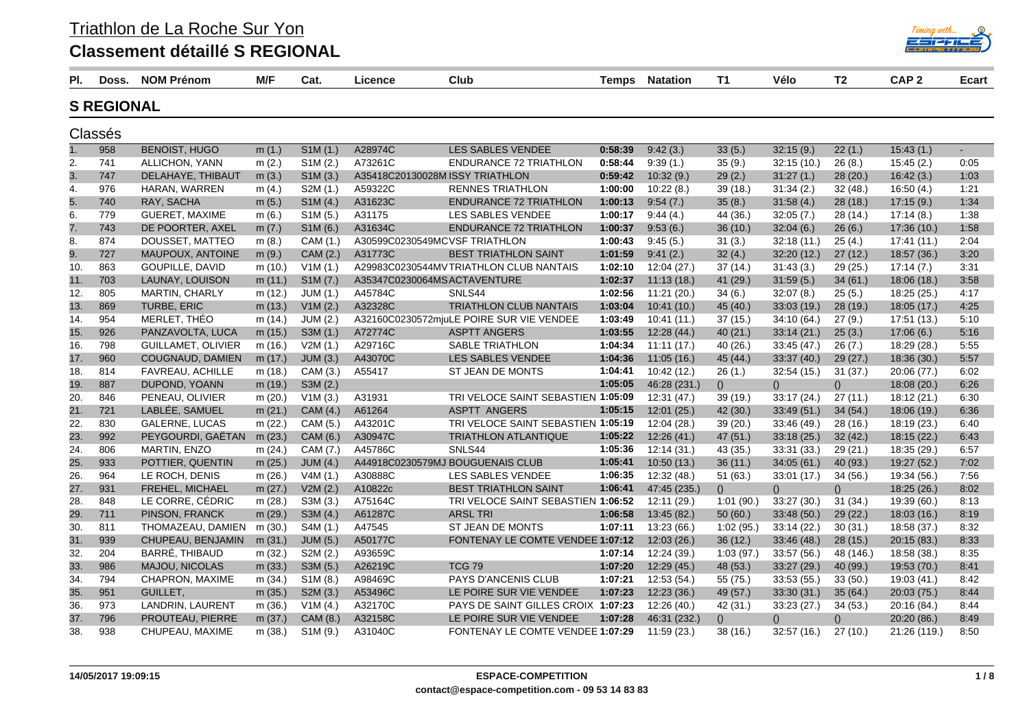|  |  | 78 |
|--|--|----|

## Triathlon de La Roche Sur Yon

## **Classement détaillé S REGIONAL**

| PI. | Doss.             | <b>NOM Prénom</b>         | M/F       | Cat.                  | Licence                         | Club                                     | Temps   | <b>Natation</b> | T1        | Vélo        | T <sub>2</sub> | CAP <sub>2</sub> | Ecart          |
|-----|-------------------|---------------------------|-----------|-----------------------|---------------------------------|------------------------------------------|---------|-----------------|-----------|-------------|----------------|------------------|----------------|
|     | <b>S REGIONAL</b> |                           |           |                       |                                 |                                          |         |                 |           |             |                |                  |                |
|     | Classés           |                           |           |                       |                                 |                                          |         |                 |           |             |                |                  |                |
| 1.  | 958               | <b>BENOIST, HUGO</b>      | m(1.)     | SIM(1.)               | A28974C                         | LES SABLES VENDEE                        | 0:58:39 | 9:42(3)         | 33(5.)    | 32:15(9.)   | 22(1.)         | 15:43(1)         | $\blacksquare$ |
| 2.  | 741               | ALLICHON, YANN            | m $(2.)$  | SIM (2.)              | A73261C                         | <b>ENDURANCE 72 TRIATHLON</b>            | 0:58:44 | 9:39(1)         | 35(9.)    | 32:15(10.)  | 26(8.)         | 15:45(2.)        | 0:05           |
| 3.  | 747               | DELAHAYE, THIBAUT         | m $(3.)$  | SIM(3.)               | A35418C20130028M ISSY TRIATHLON |                                          | 0:59:42 | 10:32(9.)       | 29(2.)    | 31:27(1)    | 28(20.)        | 16:42(3.)        | 1:03           |
| 4.  | 976               | HARAN, WARREN             | m(4.)     | S2M (1.)              | A59322C                         | <b>RENNES TRIATHLON</b>                  | 1:00:00 | 10:22(8.)       | 39(18)    | 31:34(2.)   | 32(48.)        | 16:50(4)         | 1:21           |
| 5.  | 740               | RAY, SACHA                | m $(5.)$  | SIM(4.)               | A31623C                         | <b>ENDURANCE 72 TRIATHLON</b>            | 1:00:13 | 9:54(7.)        | 35(8.)    | 31:58(4)    | 28(18.)        | 17:15(9)         | 1:34           |
| 6.  | 779               | GUERET, MAXIME            | m(6.)     | S1M (5.)              | A31175                          | LES SABLES VENDEE                        | 1:00:17 | 9.44(4.)        | 44 (36.)  | 32:05(7.)   | 28(14.)        | 17:14(8.)        | 1:38           |
| 7.  | 743               | DE POORTER, AXEL          | m $(7.)$  | S <sub>1</sub> M (6.) | A31634C                         | <b>ENDURANCE 72 TRIATHLON</b>            | 1:00:37 | 9:53(6.)        | 36(10.)   | 32:04(6.)   | 26(6.)         | 17:36(10.)       | 1:58           |
| 8.  | 874               | DOUSSET, MATTEO           | m(8.)     | CAM (1.)              | A30599C0230549MCVSF TRIATHLON   |                                          | 1:00:43 | 9:45(5.)        | 31(3.)    | 32:18(11)   | 25(4.)         | 17:41 (11.)      | 2:04           |
| 9.  | 727               | MAUPOUX, ANTOINE          | m(9.)     | CAM (2.)              | A31773C                         | <b>BEST TRIATHLON SAINT</b>              | 1:01:59 | 9.41(2.)        | 32(4.)    | 32:20(12.)  | 27(12.)        | 18:57 (36.)      | 3:20           |
| 10. | 863               | <b>GOUPILLE, DAVID</b>    | m (10.)   | V1M(1.)               |                                 | A29983C0230544MVTRIATHLON CLUB NANTAIS   | 1:02:10 | 12:04(27)       | 37(14)    | 31:43(3)    | 29(25.)        | 17:14(7.)        | 3:31           |
| 11. | 703               | LAUNAY, LOUISON           | m $(11.)$ | SIM (7.)              | A35347C0230064MSACTAVENTURE     |                                          | 1:02:37 | 11:13(18.)      | 41(29.)   | 31:59(5)    | 34(61)         | 18:06(18.)       | 3:58           |
| 12. | 805               | MARTIN, CHARLY            | m (12.)   | JUM (1.)              | A45784C                         | SNLS44                                   | 1:02:56 | 11:21 (20.)     | 34(6.)    | 32:07(8.)   | 25(5.)         | 18:25 (25.)      | 4:17           |
| 13. | 869               | <b>TURBE, ERIC</b>        | m(13.)    | V1M(2.)               | A32328C                         | <b>TRIATHLON CLUB NANTAIS</b>            | 1:03:04 | 10:41(10.)      | 45(40.)   | 33:03(19)   | 28(19.)        | 18:05(17.)       | 4:25           |
| 14. | 954               | MERLET, THÉO              | m (14.)   | JUM (2.)              |                                 | A32160C0230572mjuLE POIRE SUR VIE VENDEE | 1:03:49 | 10:41(11.)      | 37(15.)   | 34:10 (64.) | 27(9.)         | 17:51 (13.)      | 5:10           |
| 15. | 926               | PANZAVOLTA, LUCA          | m (15.)   | S3M (1.)              | A72774C                         | <b>ASPTT ANGERS</b>                      | 1:03:55 | 12:28 (44.)     | 40(21.)   | 33:14(21)   | 25(3.)         | 17:06(6)         | 5:16           |
| 16. | 798               | <b>GUILLAMET, OLIVIER</b> | m (16.)   | V2M(1.)               | A29716C                         | <b>SABLE TRIATHLON</b>                   | 1:04:34 | 11:11(17.)      | 40(26.)   | 33:45(47.)  | 26(7.)         | 18:29 (28.)      | 5:55           |
| 17. | 960               | COUGNAUD, DAMIEN          | m (17.)   | JUM(3.)               | A43070C                         | LES SABLES VENDEE                        | 1:04:36 | 11:05(16.)      | 45(44)    | 33:37(40.)  | 29(27.)        | 18:36 (30.)      | 5:57           |
| 18. | 814               | FAVREAU, ACHILLE          | m (18.)   | CAM (3.)              | A55417                          | ST JEAN DE MONTS                         | 1:04:41 | 10:42 (12.)     | 26(1.)    | 32:54(15.)  | 31(37.)        | 20:06 (77.)      | 6:02           |
| 19. | 887               | DUPOND, YOANN             | m (19.)   | S3M(2.)               |                                 |                                          | 1:05:05 | 46:28 (231.)    | ()        | ()          | ()             | 18:08 (20.)      | 6:26           |
| 20. | 846               | PENEAU, OLIVIER           | m (20.)   | V1M(3.)               | A31931                          | TRI VELOCE SAINT SEBASTIEN 1:05:09       |         | 12:31 (47.)     | 39(19.)   | 33:17(24)   | 27(11.)        | 18:12 (21.)      | 6:30           |
| 21. | 721               | LABLÉE, SAMUEL            | m(21.)    | CAM (4.)              | A61264                          | <b>ASPTT ANGERS</b>                      | 1:05:15 | 12:01(25.)      | 42(30.)   | 33:49(51)   | 34(54)         | 18:06 (19.)      | 6:36           |
| 22. | 830               | <b>GALERNE, LUCAS</b>     | m (22.)   | CAM (5.)              | A43201C                         | TRI VELOCE SAINT SEBASTIEN 1:05:19       |         | 12:04(28.)      | 39(20.)   | 33:46(49)   | 28(16.)        | 18:19 (23.)      | 6:40           |
| 23. | 992               | PEYGOURDI, GAËTAN         | m (23.)   | CAM (6.)              | A30947C                         | TRIATHLON ATLANTIQUE                     | 1:05:22 | 12:26 (41.)     | 47(51)    | 33:18(25)   | 32(42.)        | 18:15 (22.)      | 6:43           |
| 24. | 806               | MARTIN, ENZO              | m(24.)    | CAM (7.)              | A45786C                         | SNLS44                                   | 1:05:36 | 12:14(31.)      | 43(35.)   | 33:31(33)   | 29(21.)        | 18:35 (29.)      | 6:57           |
| 25. | 933               | POTTIER, QUENTIN          | m $(25.)$ | JUM(4.)               |                                 | A44918C0230579MJ BOUGUENAIS CLUB         | 1:05:41 | 10:50(13.)      | 36(11)    | 34:05(61)   | 40 (93.)       | 19:27 (52.)      | 7:02           |
| 26. | 964               | LE ROCH, DENIS            | m (26.)   | V4M(1.)               | A30888C                         | LES SABLES VENDEE                        | 1:06:35 | 12:32 (48.)     | 51(63.)   | 33:01(17.)  | 34(56.)        | 19:34 (56.)      | 7:56           |
| 27. | 931               | FREHEL, MICHAEL           | m $(27.)$ | V2M(2.)               | A10822c                         | <b>BEST TRIATHLON SAINT</b>              | 1:06:41 | 47:45 (235.)    | ()        | ()          | ()             | 18:25 (26.)      | 8:02           |
| 28. | 848               | LE CORRE, CÉDRIC          | m(28.)    | S3M(3.)               | A75164C                         | TRI VELOCE SAINT SEBASTIEN 1:06:52       |         | 12:11 (29.)     | 1:01(90.) | 33:27(30.)  | 31(34.)        | 19:39 (60.)      | 8:13           |
| 29. | 711               | PINSON, FRANCK            | m (29.)   | S3M (4.)              | A61287C                         | <b>ARSL TRI</b>                          | 1:06:58 | 13:45 (82.)     | 50(60.)   | 33:48 (50.) | 29(22.)        | 18:03 (16.)      | 8:19           |
| 30. | 811               | THOMAZEAU, DAMIEN         | m (30.)   | S4M (1.)              | A47545                          | ST JEAN DE MONTS                         | 1:07:11 | 13:23(66)       | 1:02(95.) | 33:14(22.)  | 30(31.)        | 18:58 (37.)      | 8:32           |
| 31. | 939               | CHUPEAU, BENJAMIN         | m (31.)   | JUM (5.)              | A50177C                         | FONTENAY LE COMTE VENDEE 1:07:12         |         | 12:03 (26.)     | 36(12.)   | 33.46(48.)  | 28(15.)        | 20:15(83.)       | 8:33           |
| 32. | 204               | BARRÉ, THIBAUD            | m (32.)   | S2M (2.)              | A93659C                         |                                          | 1:07:14 | 12:24 (39.)     | 1:03(97.) | 33:57 (56.) | 48 (146.)      | 18:58 (38.)      | 8:35           |
| 33. | 986               | MAJOU, NICOLAS            | m(33.)    | S3M (5.)              | A26219C                         | <b>TCG 79</b>                            | 1:07:20 | 12:29 (45.)     | 48 (53.)  | 33:27(29)   | 40 (99.)       | 19:53 (70.)      | 8:41           |
| 34. | 794               | CHAPRON, MAXIME           | m $(34.)$ | SIM(8.)               | A98469C                         | PAYS D'ANCENIS CLUB                      | 1:07:21 | 12:53 (54.)     | 55 (75.)  | 33:53(55.)  | 33(50.)        | 19:03 (41.)      | 8:42           |
| 35. | 951               | GUILLET,                  | m $(35.)$ | S2M (3.)              | A53496C                         | LE POIRE SUR VIE VENDEE                  | 1:07:23 | 12:23 (36.)     | 49 (57.)  | 33:30(31)   | 35(64.)        | 20:03(75.)       | 8:44           |
| 36. | 973               | LANDRIN, LAURENT          | m (36.)   | V1M(4.)               | A32170C                         | PAYS DE SAINT GILLES CROIX 1:07:23       |         | 12:26 (40.)     | 42 (31.)  | 33:23(27.)  | 34(53)         | 20:16 (84.)      | 8:44           |
| 37. | 796               | PROUTEAU, PIERRE          | m (37.)   | CAM (8.)              | A32158C                         | LE POIRE SUR VIE VENDEE                  | 1:07:28 | 46:31 (232.)    | ()        | ()          | ()             | 20:20(86.)       | 8:49           |
| 38. | 938               | CHUPEAU, MAXIME           | m (38.)   | SIM(9.)               | A31040C                         | FONTENAY LE COMTE VENDEE 1:07:29         |         | 11:59 (23.)     | 38(16.)   | 32:57(16.)  | 27(10.)        | 21:26 (119.)     | 8:50           |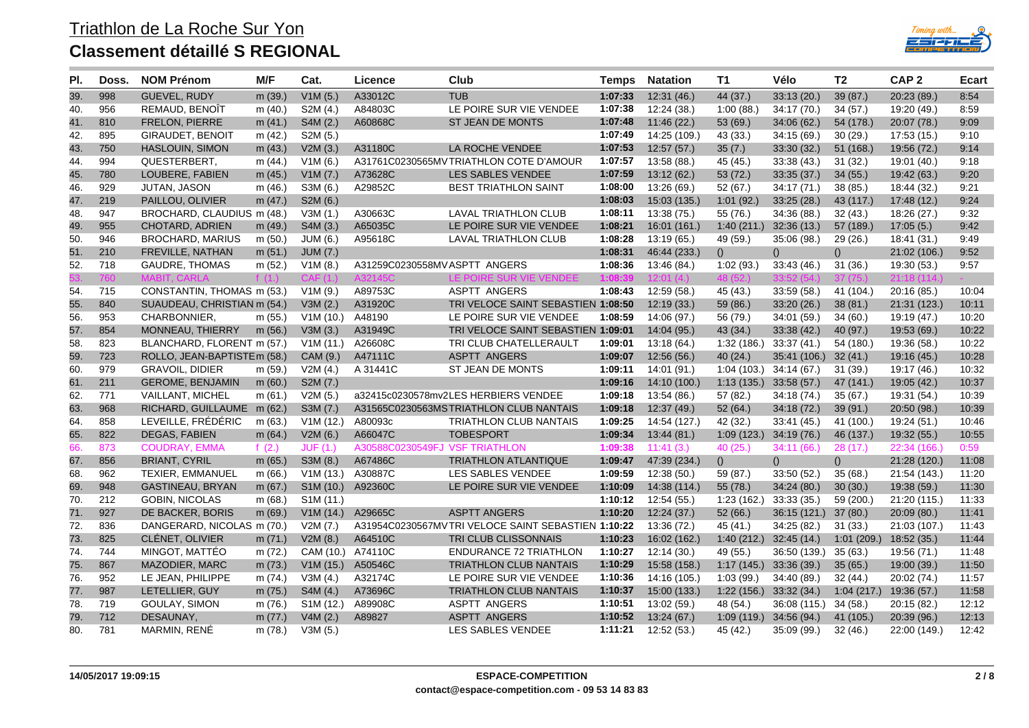

| PI. | Doss. | <b>NOM Prénom</b>           | M/F       | Cat.                   | Licence                        | Club                                               | Temps   | <b>Natation</b> | T1         | Vélo                     | T <sub>2</sub> | CAP <sub>2</sub> | <b>Ecart</b> |
|-----|-------|-----------------------------|-----------|------------------------|--------------------------------|----------------------------------------------------|---------|-----------------|------------|--------------------------|----------------|------------------|--------------|
| 39. | 998   | <b>GUEVEL, RUDY</b>         | m (39.)   | V1M(5)                 | A33012C                        | <b>TUB</b>                                         | 1:07:33 | 12:31(46.)      | 44 (37.)   | 33:13(20.)               | 39(87)         | 20:23 (89.)      | 8:54         |
| 40. | 956   | REMAUD, BENOIT              | m $(40.)$ | S2M(4.)                | A84803C                        | LE POIRE SUR VIE VENDEE                            | 1:07:38 | 12:24 (38.)     | 1:00(88.)  | 34:17 (70.)              | 34(57.)        | 19:20 (49.)      | 8:59         |
| 41. | 810   | FRELON, PIERRE              | m $(41.)$ | S4M(2.)                | A60868C                        | ST JEAN DE MONTS                                   | 1:07:48 | 11:46(22.)      | 53(69.)    | 34:06(62)                | 54 (178.)      | 20:07(78)        | 9:09         |
| 42. | 895   | <b>GIRAUDET, BENOIT</b>     | m (42.)   | S2M(5.)                |                                |                                                    | 1:07:49 | 14:25 (109.)    | 43(33)     | 34:15(69)                | 30(29.)        | 17:53 (15.)      | 9:10         |
| 43. | 750   | HASLOUIN, SIMON             | m $(43.)$ | V2M(3.)                | A31180C                        | LA ROCHE VENDEE                                    | 1:07:53 | 12:57(57.)      | 35(7.)     | 33:30(32)                | 51 (168.)      | 19:56 (72.)      | 9:14         |
| 44. | 994   | QUESTERBERT,                | m (44.)   | V1M(6.)                |                                | A31761C0230565MVTRIATHLON COTE D'AMOUR             | 1:07:57 | 13:58 (88.)     | 45(45)     | 33:38(43.)               | 31(32)         | 19:01 (40.)      | 9:18         |
| 45. | 780   | LOUBERE, FABIEN             | m $(45.)$ | V1M (7.)               | A73628C                        | <b>LES SABLES VENDEE</b>                           | 1:07:59 | 13:12(62)       | 53(72.)    | 33:35(37)                | 34(55.)        | 19:42 (63.)      | 9:20         |
| 46. | 929   | <b>JUTAN, JASON</b>         | m (46.)   | S3M (6.)               | A29852C                        | <b>BEST TRIATHLON SAINT</b>                        | 1:08:00 | 13:26 (69.)     | 52(67)     | 34:17 (71.)              | 38(85.)        | 18:44 (32.)      | 9:21         |
| 47. | 219   | PAILLOU, OLIVIER            | m $(47.)$ | S2M (6.)               |                                |                                                    | 1:08:03 | 15:03 (135.)    | 1:01(92.)  | 33:25(28.)               | 43 (117.)      | 17:48(12.)       | 9:24         |
| 48. | 947   | BROCHARD, CLAUDIUS m (48.)  |           | V3M(1.)                | A30663C                        | <b>LAVAL TRIATHLON CLUB</b>                        | 1:08:11 | 13:38 (75.)     | 55 (76.)   | 34:36 (88.)              | 32(43.)        | 18:26 (27.)      | 9:32         |
| 49. | 955   | CHOTARD, ADRIEN             | m $(49.)$ | S4M (3.)               | A65035C                        | LE POIRE SUR VIE VENDEE                            | 1:08:21 | 16:01 (161.)    | 1:40(211.) | 32:36(13)                | 57 (189.)      | 17:05(5.)        | 9:42         |
| 50. | 946   | <b>BROCHARD, MARIUS</b>     | m(50.)    | <b>JUM (6.)</b>        | A95618C                        | LAVAL TRIATHLON CLUB                               | 1:08:28 | 13:19 (65.)     | 49 (59.)   | 35:06 (98.)              | 29(26.)        | 18:41 (31.)      | 9:49         |
| 51. | 210   | FREVILLE, NATHAN            | m $(51.)$ | <b>JUM (7.)</b>        |                                |                                                    | 1:08:31 | 46:44 (233.)    | ()         | $\left( \right)$         | $\Omega$       | 21:02(106.)      | 9:52         |
| 52. | 718   | GAUDRE, THOMAS              | m (52.)   | V1M(8.)                | A31259C0230558MVASPTT ANGERS   |                                                    | 1:08:36 | 13:46 (84.)     | 1:02(93.)  | 33:43(46.)               | 31(36.)        | 19:30 (53.)      | 9:57         |
|     | 760   |                             |           |                        |                                | IF.                                                | 1:0     |                 |            |                          |                |                  |              |
| 54. | 715   | CONSTANTIN, THOMAS m (53.)  |           | V1M(9.)                | A89753C                        | <b>ASPTT ANGERS</b>                                | 1:08:43 | 12:59 (58.)     | 45 (43.)   | 33:59(58.)               | 41 (104.)      | 20:16 (85.)      | 10:04        |
| 55. | 840   | SUAUDEAU, CHRISTIAN m (54.) |           | V3M(2.)                | A31920C                        | TRI VELOCE SAINT SEBASTIEN 1:08:50                 |         | 12:19(33)       | 59 (86.)   | 33:20(26.)               | 38(81.)        | 21:31(123.)      | 10:11        |
| 56. | 953   | CHARBONNIER,                | m (55.)   | V1M(10.)               | A48190                         | LE POIRE SUR VIE VENDEE                            | 1:08:59 | 14:06 (97.)     | 56 (79.)   | 34:01 (59.)              | 34(60)         | 19:19(47)        | 10:20        |
| 57. | 854   | MONNEAU, THIERRY            | m (56.)   | V3M(3.)                | A31949C                        | TRI VELOCE SAINT SEBASTIEN 1:09:01                 |         | 14:04 (95.)     | 43 (34.)   | 33:38(42)                | 40 (97.)       | 19:53 (69.)      | 10:22        |
| 58. | 823   | BLANCHARD, FLORENT m (57.)  |           | V1M(11.)               | A26608C                        | TRI CLUB CHATELLERAULT                             | 1:09:01 | 13:18 (64.)     | 1:32(186.) | 33:37 (41.)              | 54 (180.)      | 19:36 (58.)      | 10:22        |
| 59. | 723   | ROLLO, JEAN-BAPTISTEm (58.) |           | CAM (9.)               | A47111C                        | <b>ASPTT ANGERS</b>                                | 1:09:07 | 12:56(56)       | 40(24.)    | 35:41 (106.)             | 32(41)         | 19:16 (45.)      | 10:28        |
| 60. | 979   | <b>GRAVOIL, DIDIER</b>      | m (59.)   | V2M(4.)                | A 31441C                       | ST JEAN DE MONTS                                   | 1:09:11 | 14:01 (91.)     | 1.04(103.) | 34:14 (67.)              | 31(39)         | 19:17 (46.)      | 10:32        |
| 61. | 211   | <b>GEROME, BENJAMIN</b>     | m $(60.)$ | S2M (7.)               |                                |                                                    | 1:09:16 | 14:10 (100.)    |            | $1:13(135.)$ 33:58 (57.) | 47 (141.)      | 19:05 (42.)      | 10:37        |
| 62. | 771   | <b>VAILLANT, MICHEL</b>     | m(61.)    | V2M(5.)                |                                | a32415c0230578mv2LES HERBIERS VENDEE               | 1:09:18 | 13:54 (86.)     | 57 (82.)   | 34:18 (74.)              | 35(67)         | 19:31 (54.)      | 10:39        |
| 63. | 968   | RICHARD, GUILLAUME m (62.)  |           | S3M (7.)               |                                | A31565C0230563MSTRIATHLON CLUB NANTAIS             | 1:09:18 | 12:37 (49.)     | 52(64.)    | 34:18(72)                | 39(91.)        | 20:50(98.)       | 10:39        |
| 64. | 858   | LEVEILLE, FRÉDÉRIC          | m (63.)   | V1M(12.)               | A80093c                        | <b>TRIATHLON CLUB NANTAIS</b>                      | 1:09:25 | 14:54 (127.)    | 42 (32.)   | 33:41 (45.)              | 41 (100.)      | 19:24 (51.)      | 10:46        |
| 65. | 822   | <b>DEGAS, FABIEN</b>        | m $(64.)$ | V2M(6.)                | A66047C                        | <b>TOBESPORT</b>                                   | 1:09:34 | 13:44(81)       | 1:09(123.) | 34:19 (76.)              | 46 (137.)      | 19:32 (55.)      | 10:55        |
| 66. | 873   | <b>COUDRAY, EMMA</b>        | f $(2.)$  | JUF(1.)                | A30588C0230549FJ VSF TRIATHLON |                                                    | 1:09:38 | 11:41(3)        | 40(25)     | 34:11(66)                | 28(17)         | 22:34 (166.)     | 0:59         |
| 67. | 856   | <b>BRIANT, CYRIL</b>        | m $(65.)$ | S3M (8.)               | A67486C                        | <b>TRIATHLON ATLANTIQUE</b>                        | 1:09:47 | 47:39 (234.)    | ()         | ()                       | ()             | 21:28(120.)      | 11:08        |
| 68. | 962   | <b>TEXIER, EMMANUEL</b>     | m (66.)   | V1M(13.)               | A30887C                        | LES SABLES VENDEE                                  | 1:09:59 | 12:38(50.)      | 59 (87.)   | 33:50(52)                | 35(68.)        | 21:54 (143.)     | 11:20        |
| 69. | 948   | GASTINEAU, BRYAN            | m $(67.)$ | S <sub>1</sub> M (10.) | A92360C                        | LE POIRE SUR VIE VENDEE                            | 1:10:09 | 14:38 (114.)    | 55(78.)    | 34:24(80.)               | 30(30.)        | 19:38 (59.)      | 11:30        |
| 70. | 212   | <b>GOBIN, NICOLAS</b>       | m (68.)   | S <sub>1</sub> M (11.) |                                |                                                    | 1:10:12 | 12:54 (55.)     | 1:23(162.) | 33:33(35)                | 59 (200.)      | 21:20 (115.)     | 11:33        |
| 71. | 927   | DE BACKER, BORIS            | m (69.)   | V1M(14.)               | A29665C                        | <b>ASPTT ANGERS</b>                                | 1:10:20 | 12:24(37.)      | 52(66.)    | 36:15(121.)              | 37(80.)        | 20:09(80.)       | 11:41        |
| 72. | 836   | DANGERARD, NICOLAS m (70.)  |           | V2M(7.)                |                                | A31954C0230567MVTRI VELOCE SAINT SEBASTIEN 1:10:22 |         | 13:36 (72.)     | 45 (41.)   | 34:25 (82.)              | 31(33.)        | 21:03 (107.)     | 11:43        |
| 73. | 825   | CLÉNET, OLIVIER             | m $(71.)$ | V2M(8.)                | A64510C                        | TRI CLUB CLISSONNAIS                               | 1:10:23 | 16:02 (162.)    | 1:40(212.) | 32:45(14)                | 1:01(209.)     | 18:52(35)        | 11:44        |
| 74. | 744   | MINGOT, MATTÉO              | m (72.)   | CAM (10.) A74110C      |                                | <b>ENDURANCE 72 TRIATHLON</b>                      | 1:10:27 | 12:14 (30.)     | 49 (55.)   | 36:50 (139.)             | 35(63)         | 19:56 (71.)      | 11:48        |
| 75. | 867   | MAZODIER, MARC              | m (73.)   | V1M(15.)               | A50546C                        | <b>TRIATHLON CLUB NANTAIS</b>                      | 1:10:29 | 15:58 (158.)    | 1:17(145)  | 33:36(39)                | 35(65.)        | 19:00 (39.)      | 11:50        |
| 76. | 952   | LE JEAN, PHILIPPE           | m (74.)   | V3M(4.)                | A32174C                        | LE POIRE SUR VIE VENDEE                            | 1:10:36 | 14:16 (105.)    | 1:03(99.)  | 34:40 (89.)              | 32(44)         | 20:02(74)        | 11:57        |
| 77. | 987   | LETELLIER, GUY              | m $(75.)$ | S4M (4.)               | A73696C                        | <b>TRIATHLON CLUB NANTAIS</b>                      | 1:10:37 | 15:00 (133.)    | 1:22(156.) | 33:32(34)                | 1:04(217.)     | 19:36 (57.)      | 11:58        |
| 78. | 719   | GOULAY, SIMON               | m (76.)   | S <sub>1</sub> M (12.) | A89908C                        | <b>ASPTT ANGERS</b>                                | 1:10:51 | 13:02 (59.)     | 48 (54.)   | 36:08 (115.)             | 34(58)         | 20:15 (82.)      | 12:12        |
| 79. | 712   | DESAUNAY,                   | m $(77.)$ | V4M(2.)                | A89827                         | <b>ASPTT ANGERS</b>                                | 1:10:52 | 13:24(67.)      | 1:09(119.) | 34:56 (94.)              | 41 (105.)      | 20:39(96.)       | 12:13        |
| 80. | 781   | MARMIN, RENÉ                | m (78.)   | V3M(5.)                |                                | LES SABLES VENDEE                                  | 1:11:21 | 12:52 (53.)     | 45 (42.)   | 35:09 (99.)              | 32(46)         | 22:00 (149.)     | 12:42        |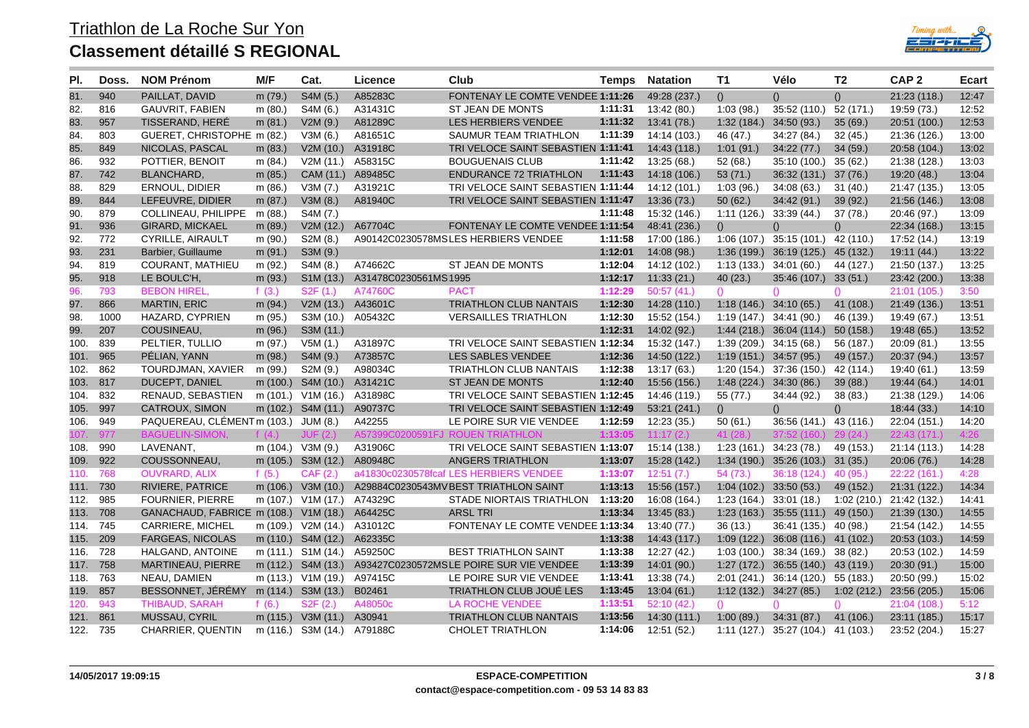

| PI.  | Doss. | <b>NOM Prénom</b>                     | M/F       | Cat.                       | Licence              | Club                                    | <b>Temps</b> | <b>Natation</b> | Τ1          | Vélo                                 | T <sub>2</sub> | CAP <sub>2</sub> | <b>Ecart</b> |
|------|-------|---------------------------------------|-----------|----------------------------|----------------------|-----------------------------------------|--------------|-----------------|-------------|--------------------------------------|----------------|------------------|--------------|
| 81.  | 940   | PAILLAT, DAVID                        | m (79.)   | S4M (5.)                   | A85283C              | <b>FONTENAY LE COMTE VENDEE 1:11:26</b> |              | 49:28 (237.)    | ()          | ()                                   | ()             | 21:23 (118.)     | 12:47        |
| 82.  | 816   | <b>GAUVRIT, FABIEN</b>                | m (80.)   | S4M (6.)                   | A31431C              | ST JEAN DE MONTS                        | 1:11:31      | 13:42 (80.)     | 1:03(98.)   | 35:52 (110.)                         | 52 (171.)      | 19:59 (73.)      | 12:52        |
| 83.  | 957   | TISSERAND, HERÉ                       | m(81.)    | V2M(9.)                    | A81289C              | LES HERBIERS VENDEE                     | 1:11:32      | 13:41 (78.)     | 1.32(184)   | 34:50 (93.)                          | 35(69.)        | 20:51 (100.)     | 12:53        |
| 84.  | 803   | GUERET, CHRISTOPHE m (82.)            |           | V3M(6.)                    | A81651C              | SAUMUR TEAM TRIATHLON                   | 1:11:39      | 14:14 (103.)    | 46 (47.)    | 34:27 (84.)                          | 32(45)         | 21:36 (126.)     | 13:00        |
| 85.  | 849   | NICOLAS, PASCAL                       | m (83.)   | V2M(10.)                   | A31918C              | TRI VELOCE SAINT SEBASTIEN 1:11:41      |              | 14:43 (118.)    | 1:01(91.)   | 34:22 (77.)                          | 34(59.)        | 20:58 (104.)     | 13:02        |
| 86.  | 932   | POTTIER, BENOIT                       | m $(84.)$ | V2M (11.)                  | A58315C              | <b>BOUGUENAIS CLUB</b>                  | 1:11:42      | 13:25 (68.)     | 52 (68.)    | 35:10 (100.) 35 (62.)                |                | 21:38 (128.)     | 13:03        |
| 87.  | 742   | <b>BLANCHARD,</b>                     | m (85.)   | CAM (11.)                  | A89485C              | <b>ENDURANCE 72 TRIATHLON</b>           | 1:11:43      | 14:18 (106.)    | 53(71)      | 36:32 (131.) 37 (76.)                |                | 19:20 (48.)      | 13:04        |
| 88.  | 829   | ERNOUL, DIDIER                        | m (86.)   | V3M(7.)                    | A31921C              | TRI VELOCE SAINT SEBASTIEN 1:11:44      |              | 14:12 (101.)    | 1:03(96.)   | 34:08(63)                            | 31(40.)        | 21:47 (135.)     | 13:05        |
| 89.  | 844   | LEFEUVRE, DIDIER                      | m $(87.)$ | V3M(8.)                    | A81940C              | TRI VELOCE SAINT SEBASTIEN 1:11:47      |              | 13:36(73)       | 50(62.)     | 34:42(91)                            | 39(92.)        | 21:56 (146.)     | 13:08        |
| 90.  | 879   | COLLINEAU, PHILIPPE                   | m (88.)   | S4M (7.)                   |                      |                                         | 1:11:48      | 15:32 (146.)    | 1:11 (126.) | 33:39 (44.)                          | 37(78)         | 20:46 (97.)      | 13:09        |
| 91.  | 936   | <b>GIRARD, MICKAEL</b>                | m (89.)   | V2M(12.)                   | A67704C              | <b>FONTENAY LE COMTE VENDEE 1:11:54</b> |              | 48:41 (236.)    | ()          | ()                                   | ()             | 22:34 (168.)     | 13:15        |
| 92.  | 772   | CYRILLE, AIRAULT                      | m (90.)   | S2M(8.)                    |                      | A90142C0230578MSLES HERBIERS VENDEE     | 1:11:58      | 17:00 (186.)    | 1:06 (107.) | 35:15 (101.) 42 (110.)               |                | 17:52 (14.)      | 13:19        |
| 93.  | 231   | Barbier, Guillaume                    | m (91.)   | S3M (9.)                   |                      |                                         | 1:12:01      | 14:08 (98.)     |             | 1:36 (199.) 36:19 (125.) 45 (132.)   |                | 19:11 (44.)      | 13:22        |
| 94.  | 819   | <b>COURANT, MATHIEU</b>               | m (92.)   | S4M (8.)                   | A74662C              | ST JEAN DE MONTS                        | 1:12:04      | 14:12 (102.)    | 1:13 (133.) | 34:01 (60.)                          | 44 (127.)      | 21:50 (137.)     | 13:25        |
| 95.  | 918   | LE BOULC'H,                           | m (93.)   | S <sub>1</sub> M (13.)     | A31478C0230561MS1995 |                                         | 1:12:17      | 11:33(21)       | 40(23.)     | 35:46 (107.) 33 (51.)                |                | 23:42 (200.)     | 13:38        |
| 96.  | 793   | <b>BEBON HIREL.</b>                   | f $(3.)$  | S2F(1.)                    | A74760C              | <b>PACT</b>                             | 1:12:29      | 50:57(41)       | $\Omega$    | $\Omega$                             | $\Omega$       | 21:01 (105.)     | 3:50         |
| 97.  | 866   | <b>MARTIN, ERIC</b>                   | m $(94.)$ | V2M(13.)                   | A43601C              | <b>TRIATHLON CLUB NANTAIS</b>           | 1:12:30      | 14:28 (110.)    |             | $1:18(146.)$ 34:10 (65.)             | 41 (108.)      | 21:49 (136.)     | 13:51        |
| 98.  | 1000  | HAZARD, CYPRIEN                       | m (95.)   | S3M (10.)                  | A05432C              | <b>VERSAILLES TRIATHLON</b>             | 1:12:30      | 15:52 (154.)    | 1:19 (147.) | 34:41 (90.)                          | 46 (139.)      | 19:49 (67.)      | 13:51        |
| 99.  | 207   | <b>COUSINEAU.</b>                     | m (96.)   | S3M (11.)                  |                      |                                         | 1:12:31      | 14:02 (92.)     |             | $1:44(218.)$ 36:04 (114.) 50 (158.)  |                | 19:48 (65.)      | 13:52        |
| 100. | 839   | PELTIER, TULLIO                       | m (97.)   | V5M(1.)                    | A31897C              | TRI VELOCE SAINT SEBASTIEN 1:12:34      |              | 15:32 (147.)    | 1:39(209.)  | 34:15 (68.)                          | 56 (187.)      | 20:09(81.)       | 13:55        |
| 101. | 965   | PÉLIAN, YANN                          | m (98.)   | S4M (9.)                   | A73857C              | LES SABLES VENDEE                       | 1:12:36      | 14:50 (122.)    |             | $1:19(151.)$ 34:57 (95.)             | 49 (157.)      | 20:37 (94.)      | 13:57        |
| 102. | 862   | TOURDJMAN, XAVIER                     | m (99.)   | S2M (9.)                   | A98034C              | <b>TRIATHLON CLUB NANTAIS</b>           | 1:12:38      | 13:17 (63.)     | 1:20(154.)  | 37:36 (150.)                         | 42 (114.)      | 19:40 (61.)      | 13:59        |
| 103. | 817   | <b>DUCEPT, DANIEL</b>                 | m (100.)  | S4M (10.)                  | A31421C              | ST JEAN DE MONTS                        | 1:12:40      | 15:56 (156.)    | 1:48(224)   | 34:30(86)                            | 39(88)         | 19:44 (64.)      | 14:01        |
| 104. | 832   | RENAUD, SEBASTIEN                     | m (101.)  | V1M(16.)                   | A31898C              | TRI VELOCE SAINT SEBASTIEN 1:12:45      |              | 14:46 (119.)    | 55 (77.)    | 34:44 (92.)                          | 38(83)         | 21:38 (129.)     | 14:06        |
| 105. | 997   | <b>CATROUX, SIMON</b>                 | m (102.)  | S4M (11.)                  | A90737C              | TRI VELOCE SAINT SEBASTIEN 1:12:49      |              | 53:21(241.)     | ()          | ()                                   | ()             | 18:44(33)        | 14:10        |
| 106. | 949   | PAQUEREAU, CLÉMENT m (103.)           |           | <b>JUM (8.)</b>            | A42255               | LE POIRE SUR VIE VENDEE                 | 1:12:59      | 12:23(35.)      | 50(61)      | 36:56 (141.)                         | 43 (116.)      | 22:04 (151.)     | 14:20        |
|      | 977   |                                       |           |                            |                      | <b>ROUEN TRIATHI ON</b>                 | 1:13:05      | 11.17(2)        | 41(2)       |                                      |                |                  |              |
| 108. | 990   | LAVENANT,                             |           | m (104.) V3M (9.)          | A31906C              | TRI VELOCE SAINT SEBASTIEN 1:13:07      |              | 15:14 (138.)    |             | $1:23(161.)$ 34:23(78.)              | 49 (153.)      | 21:14 (113.)     | 14:28        |
| 109. | 922   | COUSSONNEAU,                          |           | m (105.) S3M (12.)         | A80948C              | <b>ANGERS TRIATHLON</b>                 | 1:13:07      | 15:28 (142.)    |             | $1:34(190.)$ $35:26(103.)$ $31(35.)$ |                | 20:06(76.)       | 14:28        |
| 110. | 768   | <b>OUVRARD, ALIX</b>                  | f $(5.)$  | CAF (2.)                   |                      | a41830c0230578fcaf LES HERBIERS VENDEE  | 1:13:07      | 12:51(7)        | 54(73)      | 36:18 (124.) 40 (95.)                |                | 22:22 (161.)     | 4:28         |
| 111. | 730   | RIVIERE, PATRICE                      |           | m (106.) V3M (10.)         |                      | A29884C0230543MVBEST TRIATHLON SAINT    | 1:13:13      | 15:56 (157.)    | 1:04(102.)  | 33:50(53)                            | 49 (152.)      | 21:31 (122.)     | 14:34        |
| 112. | 985   | FOURNIER, PIERRE                      |           | m (107.) V1M (17.)         | A74329C              | STADE NIORTAIS TRIATHLON 1:13:20        |              | 16:08 (164.)    |             | $1:23(164.)$ 33:01 (18.)             | 1:02(210.)     | 21:42 (132.)     | 14:41        |
| 113. | 708   | GANACHAUD, FABRICE m (108.) V1M (18.) |           |                            | A64425C              | <b>ARSL TRI</b>                         | 1:13:34      | 13:45(83)       |             | $1:23(163)$ $35:55(111)$ $49(150)$   |                | 21:39 (130.)     | 14:55        |
| 114. | 745   | <b>CARRIERE, MICHEL</b>               |           | m (109.) V2M (14.)         | A31012C              | FONTENAY LE COMTE VENDEE 1:13:34        |              | 13:40 (77.)     | 36(13.)     | 36:41 (135.) 40 (98.)                |                | 21:54 (142.)     | 14:55        |
| 115. | 209   | <b>FARGEAS, NICOLAS</b>               |           | m (110.) S4M (12.)         | A62335C              |                                         | 1:13:38      | 14:43 (117.)    | 1:09(122.)  | 36:08 (116.) 41 (102.)               |                | 20:53 (103.)     | 14:59        |
| 116. | 728   | <b>HALGAND, ANTOINE</b>               |           | m (111.) S1M (14.)         | A59250C              | <b>BEST TRIATHLON SAINT</b>             | 1:13:38      | 12:27(42.)      |             | $1:03(100.)$ 38:34 (169.) 38 (82.)   |                | 20:53 (102.)     | 14:59        |
| 117. | 758   | MARTINEAU, PIERRE                     |           | m (112.) S4M (13.)         |                      | A93427C0230572MSLE POIRE SUR VIE VENDEE | 1:13:39      | 14:01(90.)      |             | $1:27(172)$ 36:55 $(140)$ 43 $(119)$ |                | 20:30 (91.)      | 15:00        |
| 118. | 763   | NEAU, DAMIEN                          |           | m (113.) V1M (19.) A97415C |                      | LE POIRE SUR VIE VENDEE                 | 1:13:41      | 13:38 (74.)     |             | 2:01 (241.) 36:14 (120.) 55 (183.)   |                | 20:50 (99.)      | 15:02        |
| 119. | 857   | BESSONNET, JÉRÉMY m (114.) S3M (13.)  |           |                            | B02461               | <b>TRIATHLON CLUB JOUE LES</b>          | 1:13:45      | 13:04(61)       |             | $1:12(132.)$ 34:27 (85.)             | 1:02(212.)     | 23:56 (205.)     | 15:06        |
| 120. | 943   | <b>THIBAUD, SARAH</b>                 | f $(6.)$  | S2F(2.)                    | A48050c              | LA ROCHE VENDEE                         | 1:13:51      | 52:10(42)       | ()          | $\Omega$                             | ()             | 21:04 (108.)     | 5:12         |
| 121. | 861   | MUSSAU, CYRIL                         |           | m (115.) V3M (11.)         | A30941               | <b>TRIATHLON CLUB NANTAIS</b>           | 1:13:56      | 14:30 (111.)    | 1:00(89)    | 34:31(87)                            | 41 (106.)      | 23:11 (185.)     | 15:17        |
| 122. | 735   | <b>CHARRIER, QUENTIN</b>              |           | m (116.) S3M (14.)         | A79188C              | <b>CHOLET TRIATHLON</b>                 | 1:14:06      | 12:51 (52.)     |             | $1:11(127.)$ 35:27 (104.) 41 (103.)  |                | 23:52 (204.)     | 15:27        |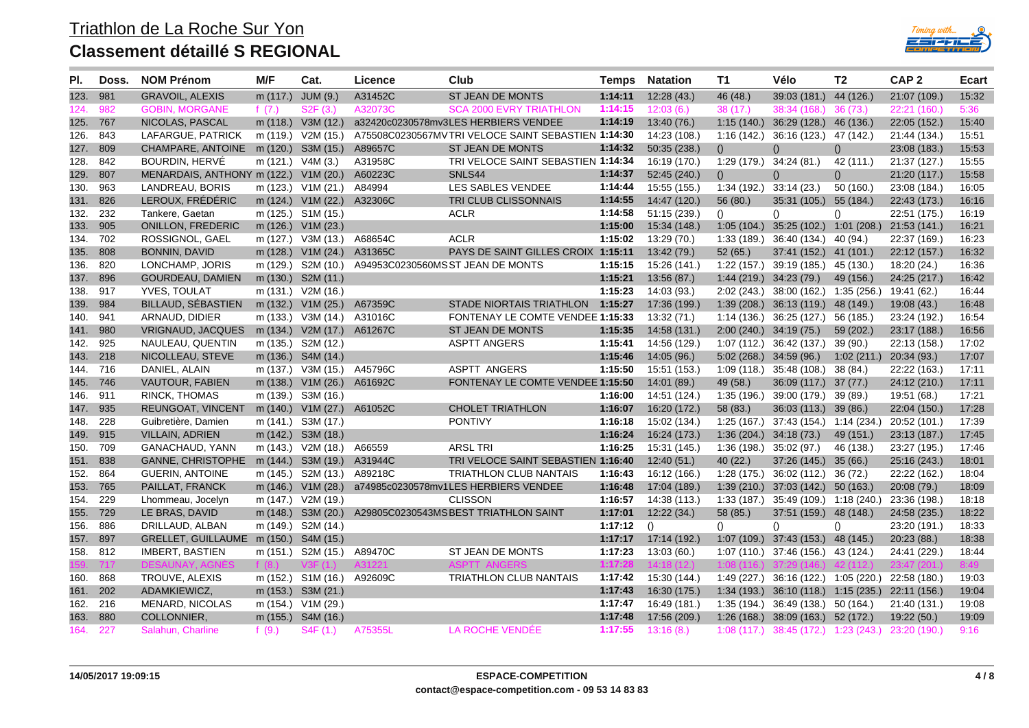

| PI.  | Doss. | <b>NOM Prénom</b>                     | M/F      | Cat.                       | Licence | Club                                                    | Temps   | <b>Natation</b>  | T1          | Vélo                                              | T <sub>2</sub>           | CAP <sub>2</sub> | Ecart |
|------|-------|---------------------------------------|----------|----------------------------|---------|---------------------------------------------------------|---------|------------------|-------------|---------------------------------------------------|--------------------------|------------------|-------|
| 123. | 981   | <b>GRAVOIL, ALEXIS</b>                | m (117.) | JUM (9.)                   | A31452C | ST JEAN DE MONTS                                        | 1:14:11 | 12:28(43)        | 46 (48.)    | 39:03 (181.) 44 (126.)                            |                          | 21:07 (109.)     | 15:32 |
| 124. | 982   | <b>GOBIN, MORGANE</b>                 | f $(7.)$ | S2F(3.)                    | A32073C | <b>SCA 2000 EVRY TRIATHLON</b>                          | 1:14:15 | 12:03(6.)        | 38(17.)     | 38:34(168)                                        | 36(73)                   | 22:21 (160.)     | 5:36  |
| 125. | 767   | NICOLAS, PASCAL                       | m (118.) | V3M (12.)                  |         | a32420c0230578mv3LES HERBIERS VENDEE                    | 1:14:19 | 13:40 (76.)      |             | $1:15(140.)$ 36:29 (128.) 46 (136.)               |                          | 22:05 (152.)     | 15:40 |
| 126. | 843   | LAFARGUE, PATRICK                     |          | m (119.) V2M (15.)         |         | A75508C0230567MVTRI VELOCE SAINT SEBASTIEN 1:14:30      |         | 14:23 (108.)     | 1:16(142.)  | 36:16 (123.)                                      | 47 (142.)                | 21:44 (134.)     | 15:51 |
| 127. | 809   | CHAMPARE, ANTOINE m (120.) S3M (15.)  |          |                            | A89657C | ST JEAN DE MONTS                                        | 1:14:32 | 50:35(238.)      | ()          | $\left( \right)$                                  | ()                       | 23:08 (183.)     | 15:53 |
| 128. | 842   | BOURDIN, HERVÉ                        |          | m (121.) V4M (3.)          | A31958C | TRI VELOCE SAINT SEBASTIEN 1:14:34                      |         | 16:19 (170.)     | 1:29 (179.) | 34:24 (81.)                                       | 42 (111.)                | 21:37(127.)      | 15:55 |
| 129. | 807   | MENARDAIS, ANTHONY m (122.) V1M (20.) |          |                            | A60223C | SNLS44                                                  | 1:14:37 | 52:45 (240.)     | ()          | $\left( \right)$                                  | ()                       | 21:20 (117.)     | 15:58 |
| 130. | 963   | LANDREAU, BORIS                       |          | m (123.) V1M (21.) A84994  |         | LES SABLES VENDEE                                       | 1:14:44 | 15:55 (155.)     | 1:34 (192.) | 33:14(23)                                         | 50(160.)                 | 23:08 (184.)     | 16:05 |
| 131. | 826   | LEROUX, FRÉDÉRIC                      |          | m (124.) V1M (22.)         | A32306C | TRI CLUB CLISSONNAIS                                    | 1:14:55 | 14:47 (120.)     | 56(80.)     | 35:31(105.)                                       | 55 (184.)                | 22:43 (173.)     | 16:16 |
| 132. | 232   | Tankere, Gaetan                       |          | m (125.) S1M (15.)         |         | <b>ACLR</b>                                             | 1:14:58 | 51:15 (239.)     | ()          | ()                                                | ()                       | 22:51 (175.)     | 16:19 |
| 133. | 905   | <b>ONILLON, FREDERIC</b>              |          | m (126.) V1M (23.)         |         |                                                         | 1:15:00 | 15:34 (148.)     |             | $1:05(104.)$ $35:25(102.)$ $1:01(208.)$           |                          | 21:53 (141.)     | 16:21 |
| 134. | 702   | ROSSIGNOL, GAEL                       |          | m (127.) V3M (13.)         | A68654C | <b>ACLR</b>                                             | 1:15:02 | 13:29 (70.)      |             | $1:33(189)$ $36:40(134)$ $40(94)$                 |                          | 22:37 (169.)     | 16:23 |
| 135. | 808   | BONNIN, DAVID                         |          | m (128.) V1M (24.)         | A31365C | PAYS DE SAINT GILLES CROIX 1:15:11                      |         | 13:42 (79.)      | 52(65)      | 37:41 (152.) 41 (101.)                            |                          | 22:12(157.)      | 16:32 |
| 136. | 820   | LONCHAMP, JORIS                       |          | m (129.) S2M (10.)         |         | A94953C0230560MSST JEAN DE MONTS                        | 1:15:15 | 15:26 (141.)     |             | 1:22 (157.) 39:19 (185.) 45 (130.)                |                          | 18:20 (24.)      | 16:36 |
| 137. | 896   | GOURDEAU, DAMIEN                      |          | m (130.) S2M (11.)         |         |                                                         | 1:15:21 | 13:56 (87.)      |             | $1:44(219)$ 34:23 (79.)                           | 49 (156.)                | 24:25 (217.)     | 16:42 |
| 138. | 917   | YVES, TOULAT                          |          | m (131.) V2M (16.)         |         |                                                         | 1:15:23 | 14:03 (93.)      |             | $2:02(243.)$ 38:00 (162.) 1:35 (256.)             |                          | 19:41 (62.)      | 16:44 |
| 139. | 984   | BILLAUD, SÉBASTIEN                    |          | m (132.) V1M (25.) A67359C |         | STADE NIORTAIS TRIATHLON 1:15:27                        |         | 17:36 (199.)     |             | $1:39(208.)$ 36:13 (119.) 48 (149.)               |                          | 19:08(43)        | 16:48 |
| 140. | 941   | ARNAUD, DIDIER                        |          | m (133.) V3M (14.)         | A31016C | FONTENAY LE COMTE VENDEE 1:15:33                        |         | 13:32(71)        |             | $1:14(136.)$ 36:25 (127.) 56 (185.)               |                          | 23:24 (192.)     | 16:54 |
| 141. | 980   | <b>VRIGNAUD, JACQUES</b>              |          | m (134.) V2M (17.) A61267C |         | ST JEAN DE MONTS                                        | 1:15:35 | 14:58 (131.)     |             | $2:00(240.)$ 34:19 (75.)                          | 59 (202.)                | 23:17 (188.)     | 16:56 |
| 142. | 925   | NAULEAU, QUENTIN                      |          | m (135.) S2M (12.)         |         | <b>ASPTT ANGERS</b>                                     | 1:15:41 | 14:56 (129.)     |             | $1:07(112.)$ 36:42 (137.) 39 (90.)                |                          | 22:13 (158.)     | 17:02 |
| 143. | 218   | NICOLLEAU, STEVE                      |          | m (136.) S4M (14.)         |         |                                                         | 1:15:46 | 14:05(96.)       |             | 5:02 (268.) 34:59 (96.)                           | $1:02(211.)$ 20:34 (93.) |                  | 17:07 |
| 144. | 716   | DANIEL, ALAIN                         |          | m (137.) V3M (15.)         | A45796C | <b>ASPTT ANGERS</b>                                     | 1:15:50 | 15:51 (153.)     |             | $1:09(118.)$ 35:48 (108.)                         | 38 (84.)                 | 22:22 (163.)     | 17:11 |
| 145. | 746   | <b>VAUTOUR, FABIEN</b>                |          | m (138.) V1M (26.)         | A61692C | <b>FONTENAY LE COMTE VENDEE 1:15:50</b>                 |         | 14:01 (89.)      | 49 (58.)    | 36:09 (117.) 37 (77.)                             |                          | 24:12 (210.)     | 17:11 |
| 146. | 911   | <b>RINCK, THOMAS</b>                  | m (139.) | S3M (16.)                  |         |                                                         | 1:16:00 | 14:51 (124.)     | 1.35(196.)  | 39:00 (179.) 39 (89.)                             |                          | 19:51 (68.)      | 17:21 |
| 147. | 935   | REUNGOAT, VINCENT                     |          | m (140.) V1M (27.) A61052C |         | <b>CHOLET TRIATHLON</b>                                 | 1:16:07 | 16:20 (172.)     | 58 (83.)    | 36:03 (113.) 39 (86.)                             |                          | 22:04 (150.)     | 17:28 |
| 148. | 228   | Guibretière, Damien                   |          | m (141.) S3M (17.)         |         | <b>PONTIVY</b>                                          | 1:16:18 | 15:02 (134.)     |             | $1:25(167.)$ 37:43 (154.) 1:14 (234.)             |                          | 20:52 (101.)     | 17:39 |
| 149. | 915   | <b>VILLAIN, ADRIEN</b>                |          | m (142.) S3M (18.)         |         |                                                         | 1:16:24 | 16:24 (173.)     | 1.36(204.)  | 34:18(73)                                         | 49 (151.)                | 23:13 (187.)     | 17:45 |
| 150. | 709   | GANACHAUD, YANN                       |          | m (143.) V2M (18.)         | A66559  | <b>ARSL TRI</b>                                         | 1:16:25 | 15:31 (145.)     |             | $1:36(198.)$ $35:02(97.)$                         | 46 (138.)                | 23:27 (195.)     | 17:46 |
| 151. | 838   | <b>GANNE, CHRISTOPHE</b>              |          | m (144.) S3M (19.)         | A31944C | TRI VELOCE SAINT SEBASTIEN 1:16:40                      |         | 12:40(51.)       | 40(22.)     | 37:26 (145.) 35 (66.)                             |                          | 25:16 (243.)     | 18:01 |
| 152. | 864   | <b>GUERIN, ANTOINE</b>                |          | m (145.) S2M (13.)         | A89218C | <b>TRIATHLON CLUB NANTAIS</b>                           | 1:16:43 | 16:12 (166.)     |             | $1:28(175.)$ 36:02 (112.) 36 (72.)                |                          | 22:22 (162.)     | 18:04 |
| 153. | 765   | PAILLAT, FRANCK                       |          | m (146.) V1M (28.)         |         | a74985c0230578mv1LES HERBIERS VENDEE                    | 1:16:48 | 17:04 (189.)     |             | $1:39(210.)$ 37:03 (142.) 50 (163.)               |                          | 20:08(79)        | 18:09 |
| 154. | 229   | Lhommeau, Jocelyn                     |          | m (147.) V2M (19.)         |         | <b>CLISSON</b>                                          | 1:16:57 | 14:38 (113.)     |             | $1:33(187.)$ $35:49(109.)$ $1:18(240.)$           |                          | 23:36 (198.)     | 18:18 |
| 155. | 729   | LE BRAS, DAVID                        |          |                            |         | m (148.) S3M (20.) A29805C0230543MSBEST TRIATHLON SAINT | 1:17:01 | 12:22 (34.)      | 58 (85.)    | 37:51 (159.) 48 (148.)                            |                          | 24:58 (235.)     | 18:22 |
| 156. | 886   | DRILLAUD, ALBAN                       |          | m (149.) S2M (14.)         |         |                                                         | 1:17:12 | $\left( \right)$ | ()          | ()                                                | ()                       | 23:20 (191.)     | 18:33 |
| 157. | 897   | GRELLET, GUILLAUME m (150.) S4M (15.) |          |                            |         |                                                         | 1:17:17 | 17:14 (192.)     |             | 1:07 (109.) 37:43 (153.) 48 (145.)                |                          | 20:23(88.)       | 18:38 |
| 158. | 812   | <b>IMBERT, BASTIEN</b>                |          | m (151.) S2M (15.) A89470C |         | ST JEAN DE MONTS                                        | 1:17:23 | 13:03(60.)       |             | $1:07(110.)$ 37:46 (156.) 43 (124.)               |                          | 24:41 (229.)     | 18:44 |
|      | 717   | <b>DESA</b>                           | f (8.    |                            |         | <b>ASP</b>                                              | 1:17:28 | 14:1<br>} (12.)  | 1:08        |                                                   |                          |                  |       |
| 160. | 868   | TROUVE, ALEXIS                        |          | m (152.) S1M (16.) A92609C |         | <b>TRIATHLON CLUB NANTAIS</b>                           | 1:17:42 | 15:30 (144.)     |             | $1:49(227.)$ 36:16 (122.) 1:05 (220.)             |                          | 22:58 (180.)     | 19:03 |
| 161. | 202   | ADAMKIEWICZ,                          |          | m (153.) S3M (21.)         |         |                                                         | 1:17:43 | 16:30 (175.)     |             | 1:34 (193.) 36:10 (118.) 1:15 (235.) 22:11 (156.) |                          |                  | 19:04 |
| 162. | 216   | <b>MENARD, NICOLAS</b>                |          | m (154.) V1M (29.)         |         |                                                         | 1:17:47 | 16:49 (181.)     |             | $1:35(194.)$ 36:49 (138.) 50 (164.)               |                          | 21:40 (131.)     | 19:08 |
| 163. | 880   | COLLONNIER,                           |          | m (155.) S4M (16.)         |         |                                                         | 1:17:48 | 17:56 (209.)     |             | $1:26(168.)$ 38:09 (163.) 52 (172.)               |                          | 19:22(50)        | 19:09 |
| 164. | 227   | Salahun, Charline                     | f $(9.)$ | S4F(1.)                    | A75355L | LA ROCHE VENDÉE                                         | 1:17:55 | 13:16(8)         | 1:08(117.)  | 38:45 (172.) 1:23 (243.)                          |                          | 23:20(190.)      | 9:16  |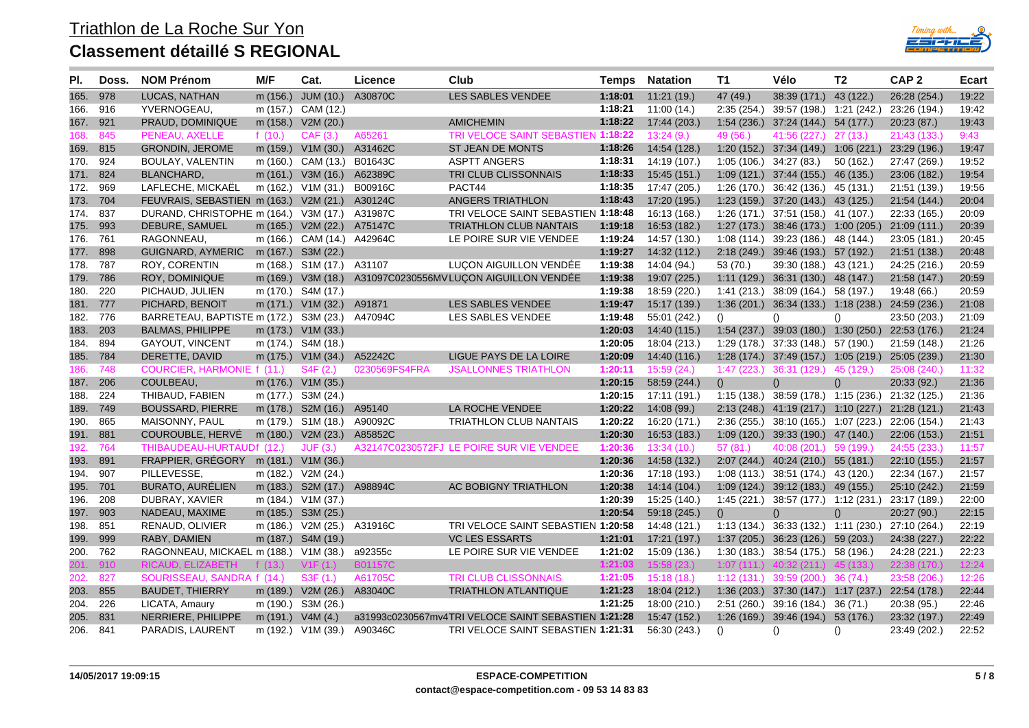

| PI.  | Doss. | <b>NOM Prénom</b>                      | M/F       | Cat.                       | Licence       | Club                                                       | Temps   | <b>Natation</b> | T <sub>1</sub> | Vélo                                              | T <sub>2</sub> | CAP <sub>2</sub> | <b>Ecart</b> |
|------|-------|----------------------------------------|-----------|----------------------------|---------------|------------------------------------------------------------|---------|-----------------|----------------|---------------------------------------------------|----------------|------------------|--------------|
| 165. | 978   | LUCAS, NATHAN                          | m (156.)  | JUM (10.)                  | A30870C       | <b>LES SABLES VENDEE</b>                                   | 1:18:01 | 11:21(19)       | 47 (49.)       | 38:39(171)                                        | 43 (122.)      | 26:28 (254.)     | 19:22        |
| 166. | 916   | YVERNOGEAU,                            |           | m (157.) CAM (12.)         |               |                                                            | 1:18:21 | 11:00(14.)      | 2:35(254.)     | 39:57 (198.) 1:21 (242.)                          |                | 23:26 (194.)     | 19:42        |
| 167. | 921   | PRAUD, DOMINIQUE                       |           | m (158.) V2M (20.)         |               | <b>AMICHEMIN</b>                                           | 1:18:22 | 17:44 (203.)    |                | $1:54(236.)$ 37:24 (144.) 54 (177.)               |                | 20:23(87.)       | 19:43        |
| 168. | 845   | PENEAU, AXELLE                         | f $(10.)$ | CAF(3.)                    | A65261        | <b>TRI VELOCE SAINT SEBASTIEN 1:18:22</b>                  |         | 13:24(9)        | 49 (56.)       | 41:56 (227.) 27 (13.)                             |                | 21:43 (133.)     | 9:43         |
| 169. | 815   | <b>GRONDIN, JEROME</b>                 | m (159.)  | V1M (30.)                  | A31462C       | ST JEAN DE MONTS                                           | 1:18:26 | 14:54 (128.)    |                | $1:20(152.)$ 37:34 (149.) 1:06 (221.)             |                | 23:29 (196.)     | 19:47        |
| 170. | 924   | BOULAY, VALENTIN                       |           | m (160.) CAM (13.) B01643C |               | <b>ASPTT ANGERS</b>                                        | 1:18:31 | 14:19 (107.)    |                | $1:05(106.)$ 34:27 (83.)                          | 50 (162.)      | 27:47 (269.)     | 19:52        |
| 171. | 824   | <b>BLANCHARD,</b>                      |           | m (161.) V3M (16.) A62389C |               | <b>TRI CLUB CLISSONNAIS</b>                                | 1:18:33 | 15:45 (151.)    |                | 1:09 (121.) 37:44 (155.) 46 (135.)                |                | 23:06 (182.)     | 19:54        |
| 172. | 969   | LAFLECHE, MICKAËL                      |           | m (162.) V1M (31.) B00916C |               | PACT44                                                     | 1:18:35 | 17:47 (205.)    |                | $1:26(170.)$ 36:42 (136.) 45 (131.)               |                | 21:51 (139.)     | 19:56        |
| 173. | 704   | FEUVRAIS, SEBASTIEN m (163.) V2M (21.) |           |                            | A30124C       | <b>ANGERS TRIATHLON</b>                                    | 1:18:43 | 17:20 (195.)    |                | $1:23(159)$ $37:20(143)$ $43(125)$                |                | 21:54 (144.)     | 20:04        |
| 174. | 837   | DURAND, CHRISTOPHE m (164.) V3M (17.)  |           |                            | A31987C       | TRI VELOCE SAINT SEBASTIEN 1:18:48                         |         | 16:13 (168.)    |                | 1:26 (171.) 37:51 (158.) 41 (107.)                |                | 22:33 (165.)     | 20:09        |
| 175. | 993   | DEBURE, SAMUEL                         |           | m (165.) V2M (22.) A75147C |               | <b>TRIATHLON CLUB NANTAIS</b>                              | 1:19:18 | 16:53 (182.)    |                | $1:27(173.)$ 38:46 (173.) 1:00 (205.)             |                | 21:09 (111.)     | 20:39        |
| 176. | 761   | RAGONNEAU,                             |           | m (166.) CAM (14.) A42964C |               | LE POIRE SUR VIE VENDEE                                    | 1:19:24 | 14:57 (130.)    |                | $1:08(114.)$ 39:23 (186.) 48 (144.)               |                | 23:05 (181.)     | 20:45        |
| 177. | 898   | <b>GUIGNARD, AYMERIC</b>               |           | m (167.) S3M (22.)         |               |                                                            | 1:19:27 | 14:32 (112.)    |                | 2:18 (249.) 39:46 (193.) 57 (192.)                |                | 21:51 (138.)     | 20:48        |
| 178. | 787   | ROY, CORENTIN                          |           | m (168.) S1M (17.)         | A31107        | LUÇON AIGUILLON VENDÉE                                     | 1:19:38 | 14:04 (94.)     | 53(70.)        | 39:30 (188.) 43 (121.)                            |                | 24:25 (216.)     | 20:59        |
| 179. | 786   | ROY, DOMINIQUE                         |           |                            |               | m (169.) V3M (18.) A31097C0230556MV LUÇON AIGUILLON VENDÉE | 1:19:38 | 19:07 (225.)    |                | $1:11(129.)$ 36:31 (130.) 48 (147.)               |                | 21:58 (147.)     | 20:59        |
| 180. | 220   | PICHAUD, JULIEN                        |           | m (170.) S4M (17.)         |               |                                                            | 1:19:38 | 18:59 (220.)    |                | 1:41 (213.) 38:09 (164.) 58 (197.)                |                | 19:48 (66.)      | 20:59        |
| 181. | 777   | PICHARD, BENOIT                        |           | m (171.) V1M (32.) A91871  |               | <b>LES SABLES VENDEE</b>                                   | 1:19:47 | 15:17 (139.)    |                | 1:36 (201.) 36:34 (133.) 1:18 (238.) 24:59 (236.) |                |                  | 21:08        |
| 182. | 776   | BARRETEAU, BAPTISTE m (172.)           |           | S3M (23.)                  | A47094C       | LES SABLES VENDEE                                          | 1:19:48 | 55:01 (242.)    | ()             | $\left( \right)$                                  | ()             | 23:50 (203.)     | 21:09        |
| 183. | 203   | <b>BALMAS, PHILIPPE</b>                |           | m (173.) V1M (33.)         |               |                                                            | 1:20:03 | 14:40 (115.)    |                | $1.54(237.)$ 39:03 (180.) 1:30 (250.)             |                | 22:53 (176.)     | 21:24        |
| 184. | 894   | <b>GAYOUT, VINCENT</b>                 |           | m (174.) S4M (18.)         |               |                                                            | 1:20:05 | 18:04 (213.)    |                | 1:29 (178.) 37:33 (148.) 57 (190.)                |                | 21:59 (148.)     | 21:26        |
| 185. | 784   | DERETTE, DAVID                         |           | m (175.) V1M (34.)         | A52242C       | LIGUE PAYS DE LA LOIRE                                     | 1:20:09 | 14:40 (116.)    |                | $1:28(174.)$ $37:49(157.)$ $1:05(219.)$           |                | 25:05 (239.)     | 21:30        |
| 186. | 748   | <b>COURCIER, HARMONIE f (11.)</b>      |           | S4F(2.)                    | 0230569FS4FRA | <b>JSALLONNES TRIATHLON</b>                                | 1:20:11 | 15:59(24)       | 1:47(223.)     | 36:31 (129.)                                      | 45 (129.)      | 25:08 (240.)     | 11:32        |
| 187. | 206   | COULBEAU,                              |           | m (176.) V1M (35.)         |               |                                                            | 1:20:15 | 58:59 (244.)    | ()             | ()                                                | ()             | 20:33(92)        | 21:36        |
| 188. | 224   | THIBAUD, FABIEN                        |           | m (177.) S3M (24.)         |               |                                                            | 1:20:15 | 17:11 (191.)    | 1:15(138.)     | 38:59 (178.) 1:15 (236.)                          |                | 21:32 (125.)     | 21:36        |
| 189. | 749   | <b>BOUSSARD, PIERRE</b>                | m (178.)  | S2M (16.)                  | A95140        | LA ROCHE VENDEE                                            | 1:20:22 | 14:08 (99.)     |                | $2:13(248.)$ 41:19 (217.) 1:10 (227.)             |                | 21:28 (121.)     | 21:43        |
| 190. | 865   | MAISONNY, PAUL                         |           | m (179.) S1M (18.)         | A90092C       | <b>TRIATHLON CLUB NANTAIS</b>                              | 1:20:22 | 16:20 (171.)    | 2:36(255)      | 38:10 (165.) 1:07 (223.)                          |                | 22:06 (154.)     | 21:43        |
| 191. | 881   | <b>COUROUBLE, HERVE</b>                | m (180.)  | V2M (23.)                  | A85852C       |                                                            | 1:20:30 | 16:53 (183.)    | 1:09(120.)     | 39:33 (190.) 47 (140.)                            |                | 22:06 (153.)     | 21:51        |
| 192. | 764   | THIBAUDEAU-HURTAUDf (12.)              |           | JUF(3.)                    |               | A32147C0230572FJ LE POIRE SUR VIE VENDEE                   | 1:20:36 | 13:34(10.)      | 57(81)         | 40:08 (201.) 59 (199.)                            |                | 24:55 (233.)     | 11:57        |
| 193. | 891   | FRAPPIER, GRÉGORY m (181.) V1M (36.)   |           |                            |               |                                                            | 1:20:36 | 14:58 (132.)    |                | $2:07(244.)$ 40:24 $(210.)$ 55 $(181.)$           |                | 22:10(155.)      | 21:57        |
| 194. | 907   | PILLEVESSE.                            |           | m (182.) V2M (24.)         |               |                                                            | 1:20:36 | 17:18 (193.)    |                | $1.08(113)$ 38.51 (174.) 43 (120.)                |                | 22:34 (167.)     | 21:57        |
| 195. | 701   | <b>BURATO, AURÉLIEN</b>                | m (183.)  | S2M (17.) A98894C          |               | AC BOBIGNY TRIATHLON                                       | 1:20:38 | 14:14 (104.)    |                | $1:09(124.)$ 39:12 (183.) 49 (155.)               |                | 25:10 (242.)     | 21:59        |
| 196. | 208   | DUBRAY, XAVIER                         |           | m (184.) V1M (37.)         |               |                                                            | 1:20:39 | 15:25 (140.)    |                | 1:45 (221.) 38:57 (177.) 1:12 (231.) 23:17 (189.) |                |                  | 22:00        |
| 197. | 903   | NADEAU, MAXIME                         |           | m (185.) S3M (25.)         |               |                                                            | 1:20:54 | 59:18 (245.)    | ()             | ()                                                | ()             | 20:27 (90.)      | 22:15        |
| 198. | 851   | RENAUD, OLIVIER                        |           | m (186.) V2M (25.)         | A31916C       | TRI VELOCE SAINT SEBASTIEN 1:20:58                         |         | 14:48 (121.)    |                | $1:13(134.)$ 36:33 (132.) 1:11 (230.)             |                | 27:10 (264.)     | 22:19        |
| 199. | 999   | RABY, DAMIEN                           |           | m (187.) S4M (19.)         |               | <b>VC LES ESSARTS</b>                                      | 1:21:01 | 17:21 (197.)    |                | 1:37 (205.) 36:23 (126.) 59 (203.)                |                | 24:38 (227.)     | 22:22        |
| 200. | 762   | RAGONNEAU, MICKAEL m (188.) V1M (38.)  |           |                            | a92355c       | LE POIRE SUR VIE VENDEE                                    | 1:21:02 | 15:09 (136.)    |                | $1:30(183)$ 38:54 (175.) 58 (196.)                |                | 24:28 (221.)     | 22:23        |
|      | 910   | RICAUD, ELIZABETH                      | - † (*    |                            |               |                                                            | 1:21:03 | 15:58 (23.)     | 1:07 (111.)    |                                                   |                | 22:38 (170.)     | 12:24        |
| 202. | 827   | SOURISSEAU, SANDRA f (14.)             |           | S3F(1.)                    | A61705C       | <b>TRI CLUB CLISSONNAIS</b>                                | 1:21:05 | 15:18(18)       |                | $1:12(131.)$ 39:59 (200.) 36 (74.)                |                | 23:58 (206.)     | 12:26        |
| 203. | 855   | <b>BAUDET, THIERRY</b>                 | m (189.)  | V2M (26.)                  | A83040C       | <b>TRIATHLON ATLANTIQUE</b>                                | 1:21:23 | 18:04 (212.)    |                | 1:36 (203.) 37:30 (147.) 1:17 (237.) 22:54 (178.) |                |                  | 22:44        |
| 204. | 226   | LICATA, Amaury                         |           | m (190.) S3M (26.)         |               |                                                            | 1:21:25 | 18:00 (210.)    | 2.51(260.)     | 39:16 (184.) 36 (71.)                             |                | 20:38(95)        | 22:46        |
| 205. | 831   | NERRIERE, PHILIPPE                     |           | m (191.) V4M (4.)          |               | a31993c0230567mv4TRIVELOCE SAINT SEBASTIEN 1:21:28         |         | 15:47 (152.)    |                | 1:26 (169.) 39:46 (194.) 53 (176.)                |                | 23:32 (197.)     | 22:49        |
| 206. | 841   | PARADIS, LAURENT                       |           | m (192.) V1M (39.)         | A90346C       | TRI VELOCE SAINT SEBASTIEN 1:21:31                         |         | 56:30 (243.)    | $\Omega$       | $\left( \right)$                                  | ()             | 23:49 (202.)     | 22:52        |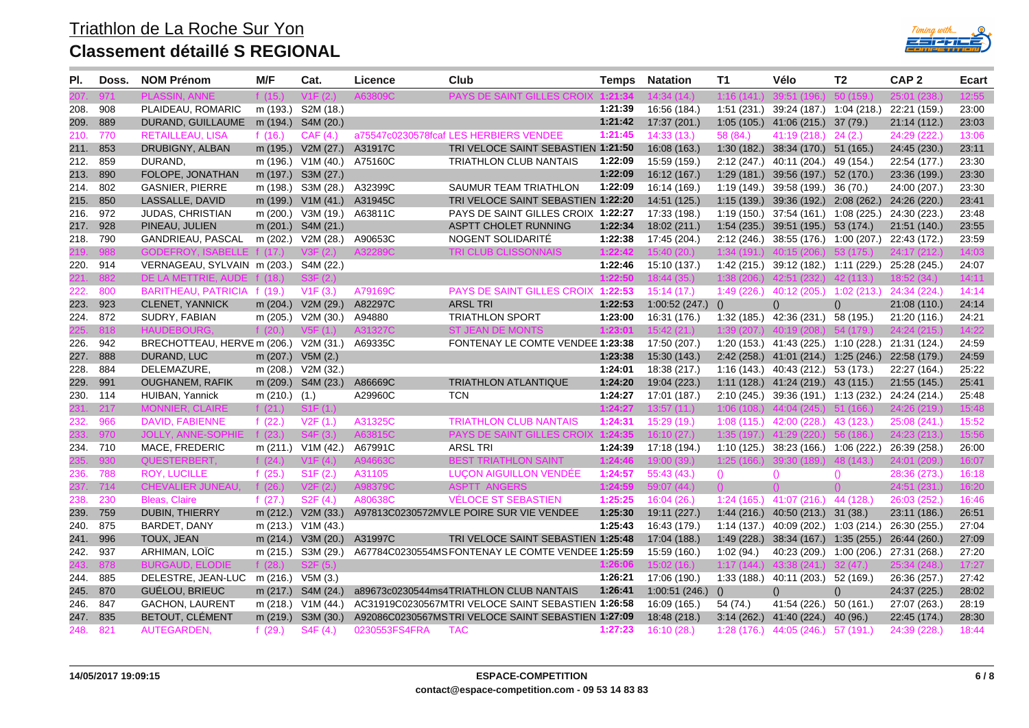| --                   |  |
|----------------------|--|
| والألاف لع<br>V<br>n |  |

| PI.      | Doss. | <b>NOM Prénom</b>                    | M/F        | Cat.                       | Licence       | Club                                               | <b>Temps</b> | <b>Natation</b>    | T1          | Vélo                                              | T2         | CAP <sub>2</sub> | Ecart |
|----------|-------|--------------------------------------|------------|----------------------------|---------------|----------------------------------------------------|--------------|--------------------|-------------|---------------------------------------------------|------------|------------------|-------|
|          |       |                                      |            |                            |               |                                                    |              |                    |             |                                                   |            |                  |       |
| 208.     | 908   | PLAIDEAU, ROMARIC                    | m (193.)   | S2M (18.)                  |               |                                                    | 1:21:39      | 16:56 (184.)       |             | $1:51(231.)$ 39:24 (187.) 1:04 (218.)             |            | 22:21 (159.)     | 23:00 |
| 209.     | 889   | DURAND, GUILLAUME                    | m (194.)   | S4M (20.)                  |               |                                                    | 1:21:42      | 17:37 (201.)       |             | 1:05 (105.) 41:06 (215.) 37 (79.)                 |            | 21:14(112.)      | 23:03 |
| 210.     | 770   | <b>RETAILLEAU, LISA</b>              | f(16.)     | CAF(4.)                    |               | a75547c0230578fcaf LES HERBIERS VENDEE             | 1:21:45      | 14:33(13)          | 58 (84.)    | $41:19(218)$ 24 (2.)                              |            | 24:29 (222.)     | 13:06 |
| 211.     | 853   | DRUBIGNY, ALBAN                      |            | m (195.) V2M (27.)         | A31917C       | TRI VELOCE SAINT SEBASTIEN 1:21:50                 |              | 16:08 (163.)       |             | 1:30 (182.) 38:34 (170.) 51 (165.)                |            | 24:45 (230.)     | 23:11 |
| 212.     | 859   | DURAND,                              |            | m (196.) V1M (40.)         | A75160C       | <b>TRIATHLON CLUB NANTAIS</b>                      | 1:22:09      | 15:59 (159.)       |             | 2:12 (247.) 40:11 (204.) 49 (154.)                |            | 22:54 (177.)     | 23:30 |
| 213.     | 890   | FOLOPE, JONATHAN                     |            | m (197.) S3M (27.)         |               |                                                    | 1:22:09      | 16:12 (167.)       |             | $1:29(181.)$ 39:56 (197.) 52 (170.)               |            | 23:36 (199.)     | 23:30 |
| 214.     | 802   | <b>GASNIER, PIERRE</b>               | m (198.)   | S3M (28.)                  | A32399C       | SAUMUR TEAM TRIATHLON                              | 1:22:09      | 16:14 (169.)       |             | $1:19(149)$ 39:58 (199.) 36 (70.)                 |            | 24:00 (207.)     | 23:30 |
| 215. .   | 850   | LASSALLE, DAVID                      |            | m (199.) V1M (41.) A31945C |               | TRI VELOCE SAINT SEBASTIEN 1:22:20                 |              | 14:51 (125.)       |             | 1:15 (139.) 39:36 (192.) 2:08 (262.) 24:26 (220.) |            |                  | 23:41 |
| 216.     | 972   | JUDAS, CHRISTIAN                     | m (200.)   | V3M (19.)                  | A63811C       | PAYS DE SAINT GILLES CROIX 1:22:27                 |              | 17:33 (198.)       |             | $1:19(150.)$ 37:54 (161.) 1:08 (225.)             |            | 24:30 (223.)     | 23:48 |
| 217. .   | 928   | PINEAU, JULIEN                       |            | m (201.) S4M (21.)         |               | ASPTT CHOLET RUNNING                               | 1:22:34      | 18:02 (211.)       |             | $1.54(235.)$ 39:51 (195.) 53 (174.)               |            | 21:51 (140.)     | 23:55 |
| 218.     | 790   | GANDRIEAU, PASCAL                    | m $(202.)$ | V2M (28.)                  | A90653C       | NOGENT SOLIDARITÉ                                  | 1:22:38      | 17:45 (204.)       | 2:12 (246.) | 38:55 (176.) 1:00 (207.)                          |            | 22:43 (172.)     | 23:59 |
|          |       | <b>GODEFROY, ISABELLE</b>            |            |                            |               | <b>TRI CLUB CLISSONNAIS</b>                        | 1:22:42      | 15:40(20.)         | 1:34(191.)  |                                                   |            |                  | 14:03 |
| 220.     | 914   | VERNAGEAU, SYLVAIN m (203.)          |            | S4M (22.)                  |               |                                                    | 1:22:46      | 15:10 (137.)       |             | $1:42(215.)$ 39:12 (182.) 1:11 (229.)             |            | 25:28 (245.)     | 24:07 |
|          | 382   | DE LA METTRIE, AUDE f (18.)          |            | S3F(2)                     |               |                                                    | 1:22:50      | 18:44(35)          | 1:38 (206.) |                                                   | 42 (113.   | 18:52 (34.)      | 14:11 |
| 222.     | 800   | BARITHEAU, PATRICIA f (19.)          |            | V1F(3.)                    | A79169C       | PAYS DE SAINT GILLES CROIX 1:22:53                 |              | 15:14(17.)         | 1:49(226.)  | 40:12 (205.)                                      | 1:02(213.) | 24:34 (224.)     | 14:14 |
| 223.     | 923   | <b>CLENET, YANNICK</b>               | m $(204.)$ | V2M (29.)                  | A82297C       | <b>ARSL TRI</b>                                    | 1:22:53      | $1:00:52(247)$ ()  |             | ()                                                | ()         | 21:08(110.)      | 24:14 |
| 224.     | 872   | SUDRY, FABIAN                        | m (205.)   | V2M (30.)                  | A94880        | <b>TRIATHLON SPORT</b>                             | 1:23:00      | 16:31 (176.)       |             | 1:32 (185.) 42:36 (231.) 58 (195.)                |            | 21:20 (116.)     | 24:21 |
|          | 318   | <b>HAUDEBOL</b>                      | f $(20$    |                            | 327C          | <b>ST JEAN DE MONTS</b>                            | 1:23:01      | 15:42 (21.)        | 1:39(207.)  |                                                   |            |                  | 14:22 |
| 226.     | 942   | BRECHOTTEAU, HERVE m (206.)          |            | V2M (31.)                  | A69335C       | FONTENAY LE COMTE VENDEE 1:23:38                   |              | 17:50 (207.)       |             | 1:20 (153.) 41:43 (225.) 1:10 (228.) 21:31 (124.) |            |                  | 24:59 |
| 227.     | 888   | DURAND, LUC                          | m (207.)   | V5M(2.)                    |               |                                                    | 1:23:38      | 15:30 (143.)       |             | 2.42 (258.) 41:01 (214.) 1:25 (246.)              |            | 22:58 (179.)     | 24:59 |
| 228.     | 884   | DELEMAZURE,                          | m (208.)   | V2M (32.)                  |               |                                                    | 1:24:01      | 18:38 (217.)       |             | $1:16(143)$ 40:43 (212.) 53 (173.)                |            | 22:27 (164.)     | 25:22 |
| 229.     | 991   | <b>OUGHANEM, RAFIK</b>               | m $(209.)$ | S4M (23.)                  | A86669C       | <b>TRIATHLON ATLANTIQUE</b>                        | 1:24:20      | 19:04 (223.)       |             | $1:11(128.)$ 41:24 (219.) 43 (115.)               |            | 21:55(145.)      | 25:41 |
| 230. 114 |       | HUIBAN, Yannick                      | m (210.)   | (1.)                       | A29960C       | <b>TCN</b>                                         | 1:24:27      | 17:01 (187.)       |             | $2:10(245.)$ 39:36 (191.) 1:13 (232.)             |            | 24:24 (214.)     | 25:48 |
|          | 217   | <b>MONNIER, CLAIRE</b>               | f (21.)    | S1F(1.)                    |               |                                                    | 1:24:27      | 13:57(11)          | 1:06(108)   | 44.04(245)                                        | 51 (166    |                  | 15:48 |
| 232.     | 966   | DAVID, FABIENNE                      | f $(22.)$  | V2F(1.)                    | A31325C       | <b>TRIATHLON CLUB NANTAIS</b>                      | 1:24:31      | 15:29(19)          | 1:08(115.)  | 42:00 (228.) 43 (123.)                            |            | 25:08(241)       | 15:52 |
|          | 970   | JOLLY AN                             | f $(23)$   |                            |               | <b>PAYS DE SAINT GILLES CROI</b>                   | 1:24:35      | 16:10 (27.)        | 1:35(197)   |                                                   |            |                  |       |
| 234. 710 |       | MACE, FREDERIC                       |            | m (211.) V1M (42.)         | A67991C       | <b>ARSL TRI</b>                                    | 1:24:39      | 17:18 (194.)       |             | 1:10 (125.) 38:23 (166.) 1:06 (222.)              |            | 26:39 (258.)     | 26:00 |
|          |       | <b>QUESTERBERT</b>                   | f (24      |                            |               | BEST TRIATHI ON SAINT                              | 1:24:46      |                    | 1:25(166)   |                                                   |            |                  | 16:07 |
| 236.     | 788   | <b>ROY, LUCILLE</b>                  | f $(25.)$  | S1F(2.)                    | A31105        | <b>LUCON AIGUILLON VENDÉE</b>                      | 1:24:57      | 55:43(43)          | $\Omega$    | $\Omega$                                          | ()         | 28:36 (273.)     | 16:18 |
| 237.     | 714   | <b>CHEVALIER JUNEAU</b>              | f $(26.)$  | V2F (2)                    |               | ASP                                                | 1:24:59      | 59:07(44)          | $\Omega$    | $\bigcap$                                         |            | 24:51 (231)      | 16:20 |
| 238.     | 230   | <b>Bleas, Claire</b>                 | f $(27.)$  | S2F(4.)                    | A80638C       | <b>VELOCE ST SEBASTIEN</b>                         | 1:25:25      | 16:04(26.)         | 1:24(165.)  | 41:07 (216.)                                      | 44 (128.)  | 26:03(252)       | 16:46 |
| 239.     | 759   | <b>DUBIN, THIERRY</b>                | m (212.)   | V2M (33.)                  |               | A97813C0230572MVLE POIRE SUR VIE VENDEE            | 1:25:30      | 19:11 (227.)       |             | $1:44(216.)$ $40:50(213.)$ 31(38)                 |            | 23:11 (186.)     | 26:51 |
| 240.     | 875   | BARDET, DANY                         | m (213.)   | V1M (43.)                  |               |                                                    | 1:25:43      | 16:43 (179.)       |             | $1:14(137.)$ $40:09(202.)$ $1:03(214.)$           |            | 26:30 (255.)     | 27:04 |
| 241.     | 996   | TOUX, JEAN                           |            | m $(214.)$ V3M $(20.)$     | A31997C       | TRI VELOCE SAINT SEBASTIEN 1:25:48                 |              | 17:04 (188.)       | 1:49(228.)  | 38:34 (167.) 1:35 (255.)                          |            | 26:44 (260.)     | 27:09 |
| 242.     | 937   | ARHIMAN, LOÏC                        | m (215.)   | S3M (29.)                  |               | A67784C0230554MS FONTENAY LE COMTE VENDEE 1:25:59  |              | 15:59 (160.)       | 1:02(94.)   | 40:23 (209.) 1:00 (206.)                          |            | 27:31 (268.)     | 27:20 |
|          | 78    | <b>BURGAUD</b>                       |            |                            |               |                                                    |              |                    |             |                                                   |            |                  | 17:27 |
| 244.     | 885   | DELESTRE, JEAN-LUC m (216.) V5M (3.) |            |                            |               |                                                    | 1:26:21      | 17:06 (190.)       | 1:33(188)   | 40:11 (203.) 52 (169.)                            |            | 26:36 (257.)     | 27:42 |
| 245.     | 870   | GUÉLOU, BRIEUC                       |            | m (217.) S4M (24.)         |               | a89673c0230544ms4TRIATHLON CLUB NANTAIS            | 1:26:41      | $1:00:51(246.)$ () |             | ()                                                |            | 24:37 (225.)     | 28:02 |
| 246.     | 847   | <b>GACHON, LAURENT</b>               |            | m (218.) V1M (44.)         |               | AC31919C0230567MTRI VELOCE SAINT SEBASTIEN 1:26:58 |              | 16:09 (165.)       | 54 (74.)    | 41:54 (226.) 50 (161.)                            |            | 27:07 (263.)     | 28:19 |
| 247. 835 |       | BETOUT, CLÉMENT                      |            | m (219.) S3M (30.)         |               | A92086C0230567MSTRIVELOCE SAINT SEBASTIEN 1:27:09  |              | 18:48 (218.)       | 3:14(262)   | 41:40 (224.) 40 (96.)                             |            | 22:45 (174.)     | 28:30 |
| 248.     | 821   | AUTEGARDEN,                          | f $(29.)$  | S4F(4)                     | 0230553FS4FRA | <b>TAC</b>                                         | 1:27:23      | 16:10(28)          | 1:28(176.)  | 44:05 (246.) 57 (191.)                            |            | 24:39 (228.)     | 18:44 |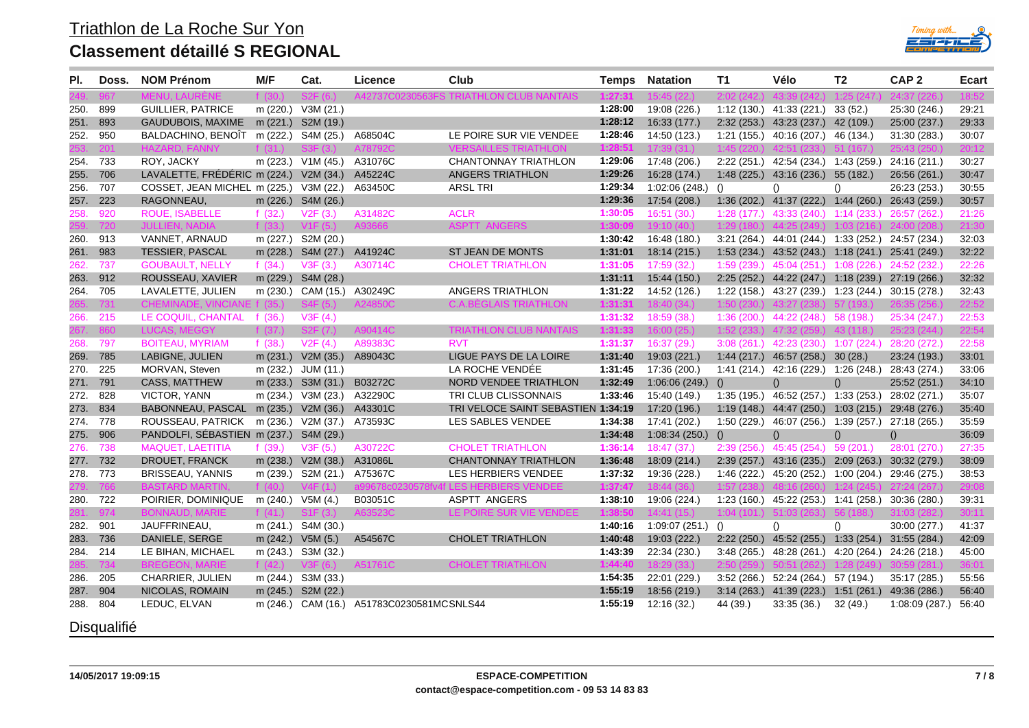

| PI.      | Doss. | <b>NOM Prénom</b>            | M/F        | Cat.               | Licence                                   | Club                               | Temps   | <b>Natation</b>    | T1               | Vélo                                              | T <sub>2</sub> | CAP <sub>2</sub> | <b>Ecart</b> |
|----------|-------|------------------------------|------------|--------------------|-------------------------------------------|------------------------------------|---------|--------------------|------------------|---------------------------------------------------|----------------|------------------|--------------|
|          |       |                              |            |                    |                                           | TRIATHI ON CI UB NANTAI            | 1:27    |                    |                  |                                                   |                |                  |              |
| 250.     | 899   | <b>GUILLIER, PATRICE</b>     | m (220.)   | V3M (21.)          |                                           |                                    | 1:28:00 | 19:08 (226.)       |                  | $1:12(130.)$ $41:33(221.)$ $33(52.)$              |                | 25:30 (246.)     | 29:21        |
| 251.     | 893   | <b>GAUDUBOIS, MAXIME</b>     |            | m (221.) S2M (19.) |                                           |                                    | 1:28:12 | 16:33 (177.)       |                  | 2:32 (253.) 43:23 (237.) 42 (109.)                |                | 25:00 (237.)     | 29:33        |
| 252.     | 950   | BALDACHINO, BENOÎT           |            | m (222.) S4M (25.) | A68504C                                   | LE POIRE SUR VIE VENDEE            | 1:28:46 | 14:50 (123.)       |                  | 1:21 (155.) 40:16 (207.) 46 (134.)                |                | 31:30 (283.)     | 30:07        |
|          | 201   | <b>HAZARD, FAN</b>           |            |                    |                                           | ILLES TRIATHLON                    | 1:28:51 |                    |                  |                                                   |                |                  | 20:12        |
| 254.     | 733   | ROY, JACKY                   | m (223.)   | V1M $(45.)$        | A31076C                                   | <b>CHANTONNAY TRIATHLON</b>        | 1:29:06 | 17:48 (206.)       | 2:22(251)        | 42:54 (234.) 1:43 (259.)                          |                | 24:16 (211.)     | 30:27        |
| 255.     | 706   | LAVALETTE, FRÉDÉRIC m (224.) |            | V2M (34.)          | A45224C                                   | ANGERS TRIATHLON                   | 1:29:26 | 16:28 (174.)       | 1:48(225.)       | 43:16 (236.)                                      | 55 (182.)      | 26:56 (261.)     | 30:47        |
| 256.     | 707   | COSSET, JEAN MICHEL m (225.) |            | V3M(22.)           | A63450C                                   | <b>ARSL TRI</b>                    | 1:29:34 | 1:02:06 (248.)     | $\left( \right)$ | $\left( \right)$                                  | ()             | 26:23 (253.)     | 30:55        |
| 257.     | 223   | RAGONNEAU,                   | m (226.)   | S4M (26.)          |                                           |                                    | 1:29:36 | 17:54 (208.)       |                  | $1:36(202.)$ 41:37 (222.) 1:44 (260.)             |                | 26:43 (259.)     | 30:57        |
| 258.     | 920   | <b>ROUE, ISABELLE</b>        | f $(32.)$  | V2F(3.)            | A31482C                                   | <b>ACLR</b>                        | 1:30:05 | 16:51(30)          | 1:28(177.)       | 43:33 (240.) 1:14 (233.)                          |                | 26:57 (262.)     | 21:26        |
|          | 720   | <b>JULLIEN, NADIA</b>        | f $(33.)$  | V1F(5)             | A93666                                    | <b>ASPTT ANGERS</b>                | 1:30:09 | 19:10(40)          |                  |                                                   |                |                  | 21:30        |
| 260.     | 913   | VANNET, ARNAUD               | m (227.)   | S2M (20.)          |                                           |                                    | 1:30:42 | 16:48 (180.)       | 3:21(264)        | 44:01 (244.) 1:33 (252.)                          |                | 24:57 (234.)     | 32:03        |
| 261.     | 983   | <b>TESSIER, PASCAL</b>       | m(228.)    | S4M (27.) A41924C  |                                           | <b>ST JEAN DE MONTS</b>            | 1:31:01 | 18:14 (215.)       |                  | $1:53(234.)$ $43:52(243.)$ $1:18(241.)$           |                | 25:41 (249.)     | 32:22        |
| 262.     | 737   | <b>GOUBAULT, NELLY</b>       | f $(34.)$  | V3F(3.)            | A30714C                                   | <b>CHOLET TRIATHLON</b>            | 1:31:05 | 17:59 (32.)        | 1:59(239)        | 45:04 (251.) 1:08 (226.)                          |                | 24:52 (232.)     | 22:26        |
| 263.     | 912   | ROUSSEAU, XAVIER             |            | m (229.) S4M (28.) |                                           |                                    | 1:31:11 | 15:44 (150.)       |                  | 2:25 (252.) 44:22 (247.) 1:18 (239.) 27:19 (266.) |                |                  | 32:32        |
| 264, 705 |       | LAVALETTE, JULIEN            | m (230.)   | CAM (15.) A30249C  |                                           | <b>ANGERS TRIATHLON</b>            | 1:31:22 | 14:52 (126.)       |                  | $1:22(158)$ 43:27 (239.) 1:23 (244.)              |                | 30:15(278.)      | 32:43        |
|          | 731   | <b>CHEMINADE</b>             |            |                    |                                           | <b>C.A.BEGLAIS TRIATHLON</b>       | 1:31:31 | 18:40(34)          |                  |                                                   |                |                  |              |
| 266.     | 215   | LE COQUIL, CHANTAL           | f (36.)    | V3F(4.)            |                                           |                                    | 1:31:32 | 18:59(38)          |                  | $1:36(200.)$ 44:22 (248.) 58 (198.)               |                | 25:34 (247.)     | 22:53        |
| 267.     | 860   | <b>LUCAS, MEGGY</b>          | f $(37.)$  | S2F(7)             | A90414C                                   | <b>TRIATHLON CLUB NANTAIS</b>      | 1:31:33 | 16:00(25)          | 1:52             |                                                   |                | 25:23 (244.      | 22:54        |
| 268.     | 797   | <b>BOITEAU, MYRIAM</b>       | f(38)      | V2F(4)             | A89383C                                   | <b>RVT</b>                         | 1:31:37 | 16:37 (29.)        |                  | $3:08(261)$ , 42:23 (230.) 1:07 (224.)            |                | 28:20 (272.)     | 22:58        |
| 269.     | 785   | LABIGNE, JULIEN              | m(231.)    | V2M (35.)          | A89043C                                   | LIGUE PAYS DE LA LOIRE             | 1:31:40 | 19:03 (221.)       | 1.44(217)        | 46:57 (258.)                                      | 30(28.)        | 23:24 (193.)     | 33:01        |
| 270.     | 225   | MORVAN, Steven               | m (232.)   | JUM (11.)          |                                           | LA ROCHE VENDÉE                    | 1:31:45 | 17:36 (200.)       | 1:41 (214.)      | 42:16 (229.) 1:26 (248.)                          |                | 28:43 (274.)     | 33:06        |
| 271.     | 791   | <b>CASS, MATTHEW</b>         | m(233.)    | S3M (31.)          | B03272C                                   | <b>NORD VENDEE TRIATHLON</b>       | 1:32:49 | $1:06:06(249.)$ () |                  | ()                                                | ()             | 25:52 (251.)     | 34:10        |
| 272.     | 828   | VICTOR, YANN                 | m(234.)    | V3M(23.)           | A32290C                                   | TRI CLUB CLISSONNAIS               | 1:33:46 | 15:40 (149.)       | 1:35(195)        | 46:52 (257.) 1:33 (253.)                          |                | 28:02 (271.)     | 35:07        |
| 273.     | 834   | BABONNEAU, PASCAL            | m(235.)    | V2M(36.)           | A43301C                                   | TRI VELOCE SAINT SEBASTIEN 1:34:19 |         | 17:20 (196.)       |                  | $1:19(148)$ 44:47 (250.) 1:03 (215.)              |                | 29:48 (276.)     | 35:40        |
| 274.     | 778   | ROUSSEAU, PATRICK            | m (236.)   | V2M (37.)          | A73593C                                   | LES SABLES VENDEE                  | 1:34:38 | 17:41 (202.)       | 1:50(229.)       | 46:07 (256.)                                      | 1:39(257.)     | 27:18 (265.)     | 35:59        |
| 275.     | 906   | PANDOLFI, SÉBASTIEN m (237.) |            | S4M (29.)          |                                           |                                    | 1:34:48 | $1:08:34(250.)$ () |                  | $\Omega$                                          | ()             | ()               | 36:09        |
| 276.     | 738   | <b>MAQUET, LAETITIA</b>      | f $(39.)$  | V3F(5.)            | A30722C                                   | <b>CHOLET TRIATHLON</b>            | 1:36:14 | 18:47(37)          |                  | $2:39(256.)$ 45:45 (254.) 59 (201.)               |                | 28:01 (270.)     | 27:35        |
| 277. 732 |       | DROUET, FRANCK               | m (238.)   | V2M (38.)          | A31086L                                   | <b>CHANTONNAY TRIATHLON</b>        | 1:36:48 | 18:09 (214.)       | 2:39(257.)       | 43:16 (235.) 2:09 (263.)                          |                | 30:32 (279.)     | 38:09        |
| 278. 773 |       | <b>BRISSEAU, YANNIS</b>      |            | m (239.) S2M (21.) | A75367C                                   | LES HERBIERS VENDEE                | 1:37:32 | 19:36 (228.)       | 1:46 (222.)      | 45:20 (252.) 1:00 (204.)                          |                | 29:46 (275.)     | 38:53        |
|          |       |                              |            |                    |                                           |                                    | 1:37:47 |                    |                  |                                                   |                |                  |              |
| 280.     | 722   | POIRIER, DOMINIQUE           | m (240.)   | V5M (4.)           | B03051C                                   | <b>ASPTT ANGERS</b>                | 1:38:10 | 19:06 (224.)       |                  | $1:23(160.)$ $45:22(253.)$ $1:41(258.)$           |                | 30:36 (280.)     | 39:31        |
|          | 974   |                              | f (4       |                    |                                           | LE POIRE SUR VIE VENDEE            | 1:38:50 | 14:41(15)          | 1:04(101)        | 51:03 (263.)                                      | <b>56</b>      |                  | 30:11        |
| 282.     | 901   | JAUFFRINEAU,                 | m (241.)   | S4M (30.)          |                                           |                                    | 1:40:16 | $1:09:07(251.)$ () |                  | ()                                                | ()             | 30:00 (277.)     | 41:37        |
| 283.     | 736   | DANIELE, SERGE               | m(242.)    | V5M(5.)            | A54567C                                   | <b>CHOLET TRIATHLON</b>            | 1:40:48 | 19:03 (222.)       | 2:22(250.)       | 45:52 (255.)                                      | 1:33(254.)     | 31:55 (284.)     | 42:09        |
| 284.     | 214   | LE BIHAN, MICHAEL            | m (243.)   | S3M (32.)          |                                           |                                    | 1:43:39 | 22:34 (230.)       | 3:48(265.)       | 48:28 (261.)                                      | 4:20(264.)     | 24:26 (218.)     | 45:00        |
|          | 734   | <b>BREGEOI</b>               | f $(42.)$  | V3F(6.)            | A51761C                                   | <b>CHOLET TRIATHLON</b>            | 1:44:40 | 18:29(33)          |                  |                                                   |                |                  | 36:01        |
| 286.     | 205   | CHARRIER, JULIEN             | m (244.)   | S3M (33.)          |                                           |                                    | 1:54:35 | 22:01 (229.)       | 3.52(266)        | 52:24 (264.)                                      | 57 (194.)      | 35:17 (285.)     | 55:56        |
| 287.     | 904   | NICOLAS, ROMAIN              | m $(245.)$ | S2M (22.)          |                                           |                                    | 1:55:19 | 18:56 (219.)       | 3:14(263)        | 41:39 (223.)                                      | 1:51(261)      | 49:36 (286.)     | 56:40        |
| 288.     | 804   | LEDUC, ELVAN                 |            |                    | m (246.) CAM (16.) A51783C0230581MCSNLS44 |                                    | 1:55:19 | 12:16 (32.)        | 44 (39.)         | 33:35(36.)                                        | 32(49)         | 1:08:09(287.)    | 56:40        |

Disqualifié